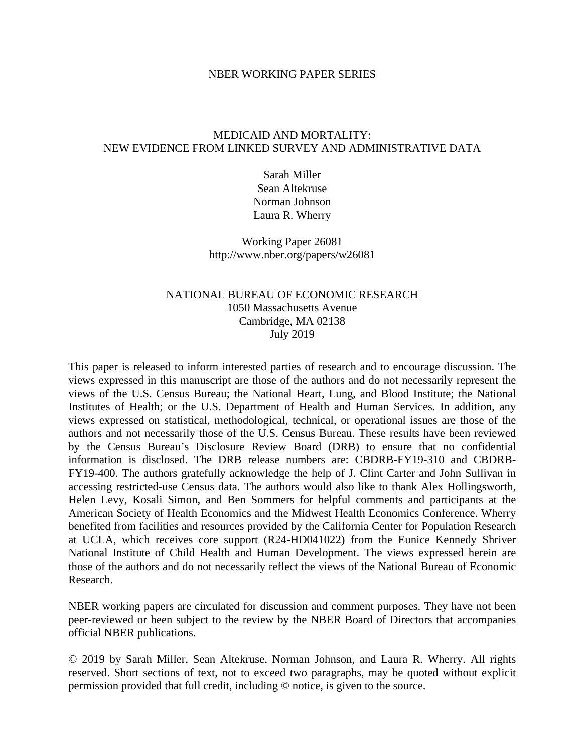### NBER WORKING PAPER SERIES

## MEDICAID AND MORTALITY: NEW EVIDENCE FROM LINKED SURVEY AND ADMINISTRATIVE DATA

Sarah Miller Sean Altekruse Norman Johnson Laura R. Wherry

Working Paper 26081 http://www.nber.org/papers/w26081

## NATIONAL BUREAU OF ECONOMIC RESEARCH 1050 Massachusetts Avenue Cambridge, MA 02138 July 2019

This paper is released to inform interested parties of research and to encourage discussion. The views expressed in this manuscript are those of the authors and do not necessarily represent the views of the U.S. Census Bureau; the National Heart, Lung, and Blood Institute; the National Institutes of Health; or the U.S. Department of Health and Human Services. In addition, any views expressed on statistical, methodological, technical, or operational issues are those of the authors and not necessarily those of the U.S. Census Bureau. These results have been reviewed by the Census Bureau's Disclosure Review Board (DRB) to ensure that no confidential information is disclosed. The DRB release numbers are: CBDRB-FY19-310 and CBDRB-FY19-400. The authors gratefully acknowledge the help of J. Clint Carter and John Sullivan in accessing restricted-use Census data. The authors would also like to thank Alex Hollingsworth, Helen Levy, Kosali Simon, and Ben Sommers for helpful comments and participants at the American Society of Health Economics and the Midwest Health Economics Conference. Wherry benefited from facilities and resources provided by the California Center for Population Research at UCLA, which receives core support (R24-HD041022) from the Eunice Kennedy Shriver National Institute of Child Health and Human Development. The views expressed herein are those of the authors and do not necessarily reflect the views of the National Bureau of Economic Research.

NBER working papers are circulated for discussion and comment purposes. They have not been peer-reviewed or been subject to the review by the NBER Board of Directors that accompanies official NBER publications.

© 2019 by Sarah Miller, Sean Altekruse, Norman Johnson, and Laura R. Wherry. All rights reserved. Short sections of text, not to exceed two paragraphs, may be quoted without explicit permission provided that full credit, including © notice, is given to the source.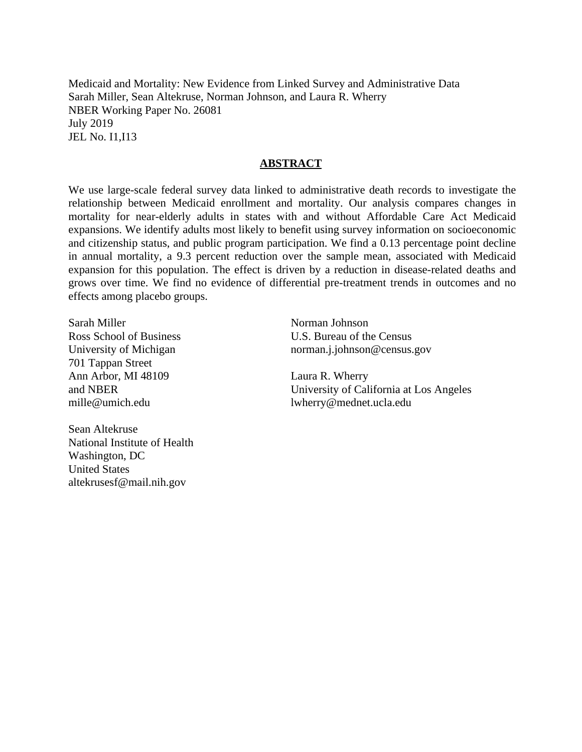Medicaid and Mortality: New Evidence from Linked Survey and Administrative Data Sarah Miller, Sean Altekruse, Norman Johnson, and Laura R. Wherry NBER Working Paper No. 26081 July 2019 JEL No. I1,I13

## **ABSTRACT**

We use large-scale federal survey data linked to administrative death records to investigate the relationship between Medicaid enrollment and mortality. Our analysis compares changes in mortality for near-elderly adults in states with and without Affordable Care Act Medicaid expansions. We identify adults most likely to benefit using survey information on socioeconomic and citizenship status, and public program participation. We find a 0.13 percentage point decline in annual mortality, a 9.3 percent reduction over the sample mean, associated with Medicaid expansion for this population. The effect is driven by a reduction in disease-related deaths and grows over time. We find no evidence of differential pre-treatment trends in outcomes and no effects among placebo groups.

Sarah Miller Ross School of Business University of Michigan 701 Tappan Street Ann Arbor, MI 48109 and NBER mille@umich.edu

Sean Altekruse National Institute of Health Washington, DC United States altekrusesf@mail.nih.gov

Norman Johnson U.S. Bureau of the Census norman.j.johnson@census.gov

Laura R. Wherry University of California at Los Angeles lwherry@mednet.ucla.edu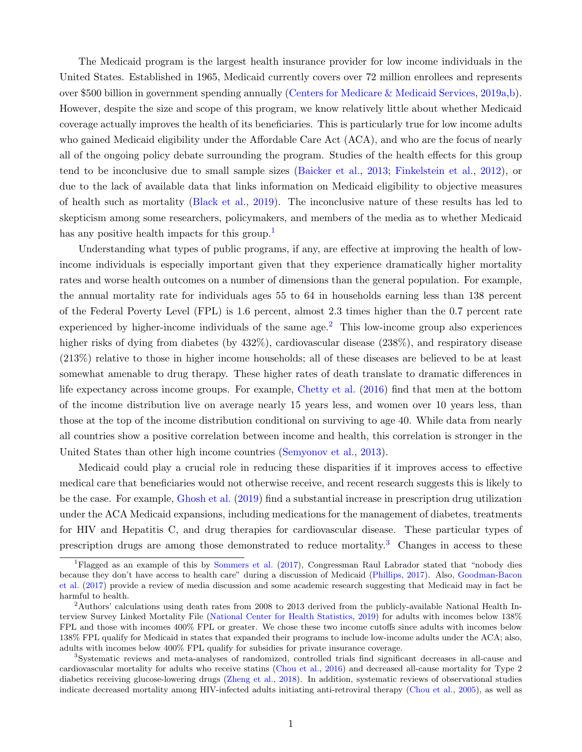The Medicaid program is the largest health insurance provider for low income individuals in the United States. Established in 1965, Medicaid currently covers over 72 million enrollees and represents over \$500 billion in government spending annually [\(Centers for Medicare & Medicaid Services,](#page--1-0) [2019a,](#page--1-0)[b\)](#page--1-1). However, despite the size and scope of this program, we know relatively little about whether Medicaid coverage actually improves the health of its beneficiaries. This is particularly true for low income adults who gained Medicaid eligibility under the Affordable Care Act (ACA), and who are the focus of nearly all of the ongoing policy debate surrounding the program. Studies of the health effects for this group tend to be inconclusive due to small sample sizes [\(Baicker et al.,](#page--1-2) [2013;](#page--1-2) [Finkelstein et al.,](#page--1-3) [2012\)](#page--1-3), or due to the lack of available data that links information on Medicaid eligibility to objective measures of health such as mortality [\(Black et al.,](#page--1-4) [2019\)](#page--1-4). The inconclusive nature of these results has led to skepticism among some researchers, policymakers, and members of the media as to whether Medicaid has any positive health impacts for this group.<sup>[1](#page--1-5)</sup>

Understanding what types of public programs, if any, are effective at improving the health of lowincome individuals is especially important given that they experience dramatically higher mortality rates and worse health outcomes on a number of dimensions than the general population. For example, the annual mortality rate for individuals ages 55 to 64 in households earning less than 138 percent of the Federal Poverty Level (FPL) is 1.6 percent, almost 2.3 times higher than the 0.7 percent rate experienced by higher-income individuals of the same age.<sup>[2](#page--1-6)</sup> This low-income group also experiences higher risks of dying from diabetes (by  $432\%$ ), cardiovascular disease (238%), and respiratory disease (213%) relative to those in higher income households; all of these diseases are believed to be at least somewhat amenable to drug therapy. These higher rates of death translate to dramatic differences in life expectancy across income groups. For example, [Chetty et al.](#page--1-7) [\(2016\)](#page--1-7) find that men at the bottom of the income distribution live on average nearly 15 years less, and women over 10 years less, than those at the top of the income distribution conditional on surviving to age 40. While data from nearly all countries show a positive correlation between income and health, this correlation is stronger in the United States than other high income countries [\(Semyonov et al.,](#page--1-8) [2013\)](#page--1-8).

Medicaid could play a crucial role in reducing these disparities if it improves access to effective medical care that beneficiaries would not otherwise receive, and recent research suggests this is likely to be the case. For example, [Ghosh et al.](#page--1-9) [\(2019\)](#page--1-9) find a substantial increase in prescription drug utilization under the ACA Medicaid expansions, including medications for the management of diabetes, treatments for HIV and Hepatitis C, and drug therapies for cardiovascular disease. These particular types of prescription drugs are among those demonstrated to reduce mortality.<sup>[3](#page--1-10)</sup> Changes in access to these

<sup>1</sup>Flagged as an example of this by [Sommers et al.](#page--1-11) [\(2017\)](#page--1-11), Congressman Raul Labrador stated that "nobody dies because they don't have access to health care" during a discussion of Medicaid [\(Phillips,](#page--1-12) [2017\)](#page--1-12). Also, [Goodman-Bacon](#page--1-13) [et al.](#page--1-13) [\(2017\)](#page--1-13) provide a review of media discussion and some academic research suggesting that Medicaid may in fact be harmful to health.

 $2$ Authors' calculations using death rates from 2008 to 2013 derived from the publicly-available National Health Interview Survey Linked Mortality File [\(National Center for Health Statistics,](#page--1-14) [2019\)](#page--1-14) for adults with incomes below 138% FPL and those with incomes 400% FPL or greater. We chose these two income cutoffs since adults with incomes below 138% FPL qualify for Medicaid in states that expanded their programs to include low-income adults under the ACA; also, adults with incomes below 400% FPL qualify for subsidies for private insurance coverage.

<sup>3</sup>Systematic reviews and meta-analyses of randomized, controlled trials find significant decreases in all-cause and cardiovascular mortality for adults who receive statins [\(Chou et al.,](#page--1-15) [2016\)](#page--1-15) and decreased all-cause mortality for Type 2 diabetics receiving glucose-lowering drugs [\(Zheng et al.,](#page--1-16) [2018\)](#page--1-16). In addition, systematic reviews of observational studies indicate decreased mortality among HIV-infected adults initiating anti-retroviral therapy [\(Chou et al.,](#page--1-17) [2005\)](#page--1-17), as well as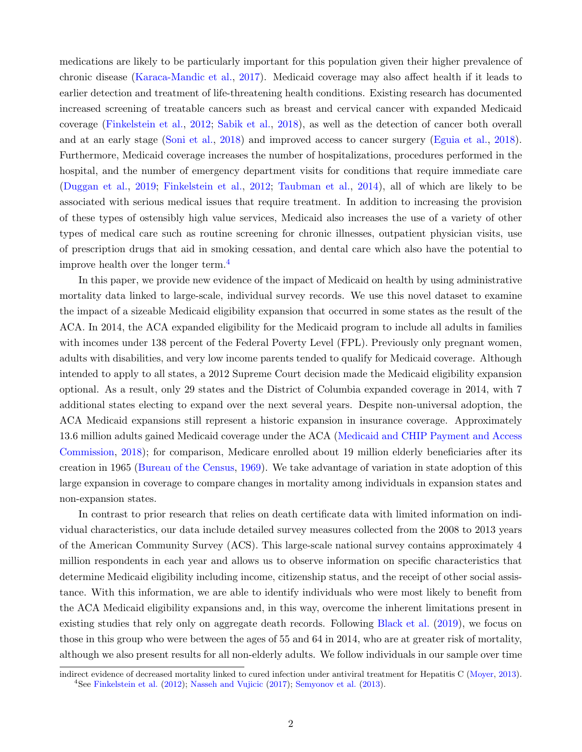medications are likely to be particularly important for this population given their higher prevalence of chronic disease [\(Karaca-Mandic et al.,](#page--1-9) [2017\)](#page--1-9). Medicaid coverage may also affect health if it leads to earlier detection and treatment of life-threatening health conditions. Existing research has documented increased screening of treatable cancers such as breast and cervical cancer with expanded Medicaid coverage [\(Finkelstein et al.,](#page--1-3) [2012;](#page--1-3) [Sabik et al.,](#page--1-18) [2018\)](#page--1-18), as well as the detection of cancer both overall and at an early stage [\(Soni et al.,](#page--1-19) [2018\)](#page--1-19) and improved access to cancer surgery [\(Eguia et al.,](#page--1-20) [2018\)](#page--1-20). Furthermore, Medicaid coverage increases the number of hospitalizations, procedures performed in the hospital, and the number of emergency department visits for conditions that require immediate care [\(Duggan et al.,](#page--1-21) [2019;](#page--1-21) [Finkelstein et al.,](#page--1-3) [2012;](#page--1-3) [Taubman et al.,](#page--1-22) [2014\)](#page--1-22), all of which are likely to be associated with serious medical issues that require treatment. In addition to increasing the provision of these types of ostensibly high value services, Medicaid also increases the use of a variety of other types of medical care such as routine screening for chronic illnesses, outpatient physician visits, use of prescription drugs that aid in smoking cessation, and dental care which also have the potential to improve health over the longer term. $<sup>4</sup>$  $<sup>4</sup>$  $<sup>4</sup>$ </sup>

In this paper, we provide new evidence of the impact of Medicaid on health by using administrative mortality data linked to large-scale, individual survey records. We use this novel dataset to examine the impact of a sizeable Medicaid eligibility expansion that occurred in some states as the result of the ACA. In 2014, the ACA expanded eligibility for the Medicaid program to include all adults in families with incomes under 138 percent of the Federal Poverty Level (FPL). Previously only pregnant women, adults with disabilities, and very low income parents tended to qualify for Medicaid coverage. Although intended to apply to all states, a 2012 Supreme Court decision made the Medicaid eligibility expansion optional. As a result, only 29 states and the District of Columbia expanded coverage in 2014, with 7 additional states electing to expand over the next several years. Despite non-universal adoption, the ACA Medicaid expansions still represent a historic expansion in insurance coverage. Approximately 13.6 million adults gained Medicaid coverage under the ACA [\(Medicaid and CHIP Payment and Access](#page--1-24) [Commission,](#page--1-24) [2018\)](#page--1-24); for comparison, Medicare enrolled about 19 million elderly beneficiaries after its creation in 1965 [\(Bureau of the Census,](#page--1-25) [1969\)](#page--1-25). We take advantage of variation in state adoption of this large expansion in coverage to compare changes in mortality among individuals in expansion states and non-expansion states.

In contrast to prior research that relies on death certificate data with limited information on individual characteristics, our data include detailed survey measures collected from the 2008 to 2013 years of the American Community Survey (ACS). This large-scale national survey contains approximately 4 million respondents in each year and allows us to observe information on specific characteristics that determine Medicaid eligibility including income, citizenship status, and the receipt of other social assistance. With this information, we are able to identify individuals who were most likely to benefit from the ACA Medicaid eligibility expansions and, in this way, overcome the inherent limitations present in existing studies that rely only on aggregate death records. Following [Black et al.](#page--1-4) [\(2019\)](#page--1-4), we focus on those in this group who were between the ages of 55 and 64 in 2014, who are at greater risk of mortality, although we also present results for all non-elderly adults. We follow individuals in our sample over time

indirect evidence of decreased mortality linked to cured infection under antiviral treatment for Hepatitis C [\(Moyer,](#page--1-26) [2013\)](#page--1-26). <sup>4</sup>See [Finkelstein et al.](#page--1-3) [\(2012\)](#page--1-3); [Nasseh and Vujicic](#page--1-27) [\(2017\)](#page--1-27); [Semyonov et al.](#page--1-8) [\(2013\)](#page--1-8).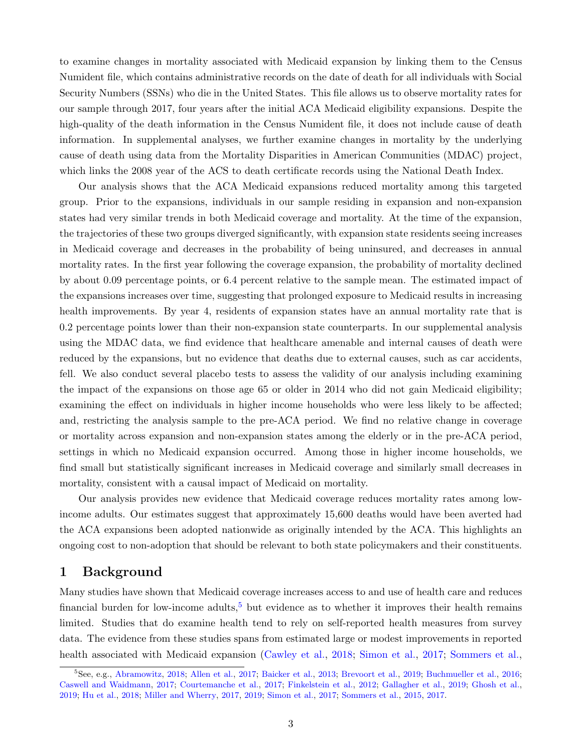to examine changes in mortality associated with Medicaid expansion by linking them to the Census Numident file, which contains administrative records on the date of death for all individuals with Social Security Numbers (SSNs) who die in the United States. This file allows us to observe mortality rates for our sample through 2017, four years after the initial ACA Medicaid eligibility expansions. Despite the high-quality of the death information in the Census Numident file, it does not include cause of death information. In supplemental analyses, we further examine changes in mortality by the underlying cause of death using data from the Mortality Disparities in American Communities (MDAC) project, which links the 2008 year of the ACS to death certificate records using the National Death Index.

Our analysis shows that the ACA Medicaid expansions reduced mortality among this targeted group. Prior to the expansions, individuals in our sample residing in expansion and non-expansion states had very similar trends in both Medicaid coverage and mortality. At the time of the expansion, the trajectories of these two groups diverged significantly, with expansion state residents seeing increases in Medicaid coverage and decreases in the probability of being uninsured, and decreases in annual mortality rates. In the first year following the coverage expansion, the probability of mortality declined by about 0.09 percentage points, or 6.4 percent relative to the sample mean. The estimated impact of the expansions increases over time, suggesting that prolonged exposure to Medicaid results in increasing health improvements. By year 4, residents of expansion states have an annual mortality rate that is 0.2 percentage points lower than their non-expansion state counterparts. In our supplemental analysis using the MDAC data, we find evidence that healthcare amenable and internal causes of death were reduced by the expansions, but no evidence that deaths due to external causes, such as car accidents, fell. We also conduct several placebo tests to assess the validity of our analysis including examining the impact of the expansions on those age 65 or older in 2014 who did not gain Medicaid eligibility; examining the effect on individuals in higher income households who were less likely to be affected; and, restricting the analysis sample to the pre-ACA period. We find no relative change in coverage or mortality across expansion and non-expansion states among the elderly or in the pre-ACA period, settings in which no Medicaid expansion occurred. Among those in higher income households, we find small but statistically significant increases in Medicaid coverage and similarly small decreases in mortality, consistent with a causal impact of Medicaid on mortality.

Our analysis provides new evidence that Medicaid coverage reduces mortality rates among lowincome adults. Our estimates suggest that approximately 15,600 deaths would have been averted had the ACA expansions been adopted nationwide as originally intended by the ACA. This highlights an ongoing cost to non-adoption that should be relevant to both state policymakers and their constituents.

## 1 Background

Many studies have shown that Medicaid coverage increases access to and use of health care and reduces financial burden for low-income adults,<sup>[5](#page--1-28)</sup> but evidence as to whether it improves their health remains limited. Studies that do examine health tend to rely on self-reported health measures from survey data. The evidence from these studies spans from estimated large or modest improvements in reported health associated with Medicaid expansion [\(Cawley et al.,](#page--1-29) [2018;](#page--1-29) [Simon et al.,](#page--1-30) [2017;](#page--1-30) [Sommers et al.,](#page--1-31)

<sup>5</sup>See, e.g., [Abramowitz,](#page--1-32) [2018;](#page--1-32) [Allen et al.,](#page--1-33) [2017;](#page--1-33) [Baicker et al.,](#page--1-2) [2013;](#page--1-2) [Brevoort et al.,](#page--1-34) [2019;](#page--1-34) [Buchmueller et al.,](#page--1-35) [2016;](#page--1-35) [Caswell and Waidmann,](#page--1-36) [2017;](#page--1-36) [Courtemanche et al.,](#page--1-37) [2017;](#page--1-37) [Finkelstein et al.,](#page--1-3) [2012;](#page--1-3) [Gallagher et al.,](#page--1-38) [2019;](#page--1-38) [Ghosh et al.,](#page--1-9) [2019;](#page--1-9) [Hu et al.,](#page--1-39) [2018;](#page--1-39) [Miller and Wherry,](#page--1-40) [2017,](#page--1-40) [2019;](#page--1-41) [Simon et al.,](#page--1-30) [2017;](#page--1-30) [Sommers et al.,](#page--1-42) [2015,](#page--1-42) [2017.](#page--1-31)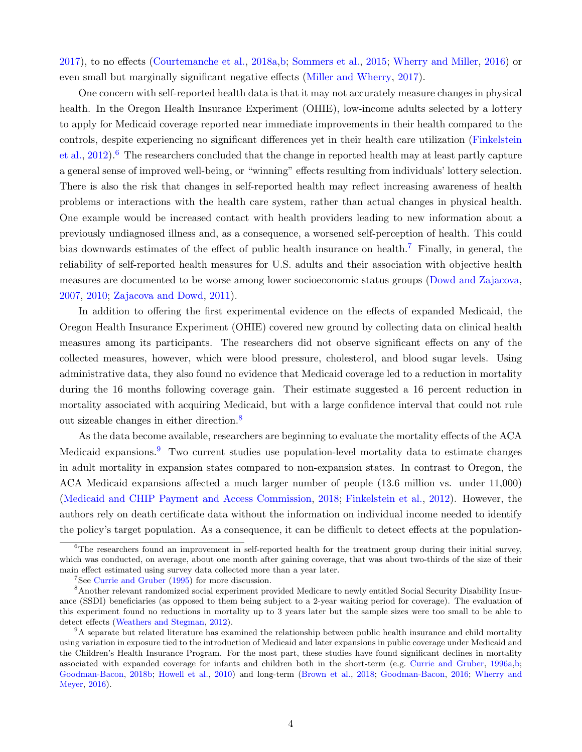[2017\)](#page--1-31), to no effects [\(Courtemanche et al.,](#page--1-43) [2018a,](#page--1-43)[b;](#page--1-44) [Sommers et al.,](#page--1-42) [2015;](#page--1-42) [Wherry and Miller,](#page--1-45) [2016\)](#page--1-45) or even small but marginally significant negative effects [\(Miller and Wherry,](#page--1-40) [2017\)](#page--1-40).

One concern with self-reported health data is that it may not accurately measure changes in physical health. In the Oregon Health Insurance Experiment (OHIE), low-income adults selected by a lottery to apply for Medicaid coverage reported near immediate improvements in their health compared to the controls, despite experiencing no significant differences yet in their health care utilization [\(Finkelstein](#page--1-3) [et al.,](#page--1-3)  $2012$ .<sup>[6](#page--1-46)</sup> The researchers concluded that the change in reported health may at least partly capture a general sense of improved well-being, or "winning" effects resulting from individuals' lottery selection. There is also the risk that changes in self-reported health may reflect increasing awareness of health problems or interactions with the health care system, rather than actual changes in physical health. One example would be increased contact with health providers leading to new information about a previously undiagnosed illness and, as a consequence, a worsened self-perception of health. This could bias downwards estimates of the effect of public health insurance on health.[7](#page--1-47) Finally, in general, the reliability of self-reported health measures for U.S. adults and their association with objective health measures are documented to be worse among lower socioeconomic status groups [\(Dowd and Zajacova,](#page--1-48) [2007,](#page--1-48) [2010;](#page--1-49) [Zajacova and Dowd,](#page--1-13) [2011\)](#page--1-13).

In addition to offering the first experimental evidence on the effects of expanded Medicaid, the Oregon Health Insurance Experiment (OHIE) covered new ground by collecting data on clinical health measures among its participants. The researchers did not observe significant effects on any of the collected measures, however, which were blood pressure, cholesterol, and blood sugar levels. Using administrative data, they also found no evidence that Medicaid coverage led to a reduction in mortality during the 16 months following coverage gain. Their estimate suggested a 16 percent reduction in mortality associated with acquiring Medicaid, but with a large confidence interval that could not rule out sizeable changes in either direction.<sup>[8](#page--1-50)</sup>

As the data become available, researchers are beginning to evaluate the mortality effects of the ACA Medicaid expansions.<sup>[9](#page--1-51)</sup> Two current studies use population-level mortality data to estimate changes in adult mortality in expansion states compared to non-expansion states. In contrast to Oregon, the ACA Medicaid expansions affected a much larger number of people (13.6 million vs. under 11,000) [\(Medicaid and CHIP Payment and Access Commission,](#page--1-24) [2018;](#page--1-24) [Finkelstein et al.,](#page--1-3) [2012\)](#page--1-3). However, the authors rely on death certificate data without the information on individual income needed to identify the policy's target population. As a consequence, it can be difficult to detect effects at the population-

 $6$ The researchers found an improvement in self-reported health for the treatment group during their initial survey, which was conducted, on average, about one month after gaining coverage, that was about two-thirds of the size of their main effect estimated using survey data collected more than a year later.

<sup>7</sup>See [Currie and Gruber](#page--1-52) [\(1995\)](#page--1-52) for more discussion.

<sup>8</sup>Another relevant randomized social experiment provided Medicare to newly entitled Social Security Disability Insurance (SSDI) beneficiaries (as opposed to them being subject to a 2-year waiting period for coverage). The evaluation of this experiment found no reductions in mortality up to 3 years later but the sample sizes were too small to be able to detect effects [\(Weathers and Stegman,](#page--1-53) [2012\)](#page--1-53).

<sup>9</sup>A separate but related literature has examined the relationship between public health insurance and child mortality using variation in exposure tied to the introduction of Medicaid and later expansions in public coverage under Medicaid and the Children's Health Insurance Program. For the most part, these studies have found significant declines in mortality associated with expanded coverage for infants and children both in the short-term (e.g. [Currie and Gruber,](#page--1-36) [1996a,](#page--1-36)[b;](#page--1-13) [Goodman-Bacon,](#page--1-54) [2018b;](#page--1-54) [Howell et al.,](#page--1-55) [2010\)](#page--1-55) and long-term [\(Brown et al.,](#page--1-56) [2018;](#page--1-56) [Goodman-Bacon,](#page--1-57) [2016;](#page--1-57) [Wherry and](#page--1-58) [Meyer,](#page--1-58) [2016\)](#page--1-58).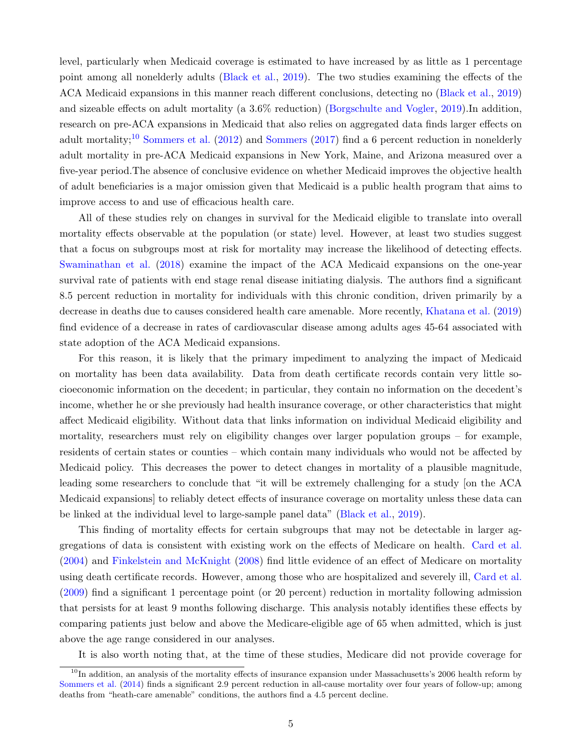level, particularly when Medicaid coverage is estimated to have increased by as little as 1 percentage point among all nonelderly adults [\(Black et al.,](#page--1-4) [2019\)](#page--1-4). The two studies examining the effects of the ACA Medicaid expansions in this manner reach different conclusions, detecting no [\(Black et al.,](#page--1-4) [2019\)](#page--1-4) and sizeable effects on adult mortality (a 3.6% reduction) [\(Borgschulte and Vogler,](#page--1-59) [2019\)](#page--1-59).In addition, research on pre-ACA expansions in Medicaid that also relies on aggregated data finds larger effects on adult mortality;<sup>[10](#page--1-28)</sup> [Sommers et al.](#page--1-16) [\(2012\)](#page--1-16) and [Sommers](#page--1-13) [\(2017\)](#page--1-13) find a 6 percent reduction in nonelderly adult mortality in pre-ACA Medicaid expansions in New York, Maine, and Arizona measured over a five-year period.The absence of conclusive evidence on whether Medicaid improves the objective health of adult beneficiaries is a major omission given that Medicaid is a public health program that aims to improve access to and use of efficacious health care.

All of these studies rely on changes in survival for the Medicaid eligible to translate into overall mortality effects observable at the population (or state) level. However, at least two studies suggest that a focus on subgroups most at risk for mortality may increase the likelihood of detecting effects. [Swaminathan et al.](#page--1-60) [\(2018\)](#page--1-60) examine the impact of the ACA Medicaid expansions on the one-year survival rate of patients with end stage renal disease initiating dialysis. The authors find a significant 8.5 percent reduction in mortality for individuals with this chronic condition, driven primarily by a decrease in deaths due to causes considered health care amenable. More recently, [Khatana et al.](#page--1-61) [\(2019\)](#page--1-61) find evidence of a decrease in rates of cardiovascular disease among adults ages 45-64 associated with state adoption of the ACA Medicaid expansions.

For this reason, it is likely that the primary impediment to analyzing the impact of Medicaid on mortality has been data availability. Data from death certificate records contain very little socioeconomic information on the decedent; in particular, they contain no information on the decedent's income, whether he or she previously had health insurance coverage, or other characteristics that might affect Medicaid eligibility. Without data that links information on individual Medicaid eligibility and mortality, researchers must rely on eligibility changes over larger population groups – for example, residents of certain states or counties – which contain many individuals who would not be affected by Medicaid policy. This decreases the power to detect changes in mortality of a plausible magnitude, leading some researchers to conclude that "it will be extremely challenging for a study [on the ACA Medicaid expansions] to reliably detect effects of insurance coverage on mortality unless these data can be linked at the individual level to large-sample panel data" [\(Black et al.,](#page--1-4) [2019\)](#page--1-4).

This finding of mortality effects for certain subgroups that may not be detectable in larger aggregations of data is consistent with existing work on the effects of Medicare on health. [Card et al.](#page--1-53) [\(2004\)](#page--1-53) and [Finkelstein and McKnight](#page--1-62) [\(2008\)](#page--1-62) find little evidence of an effect of Medicare on mortality using death certificate records. However, among those who are hospitalized and severely ill, [Card et al.](#page--1-63) [\(2009\)](#page--1-63) find a significant 1 percentage point (or 20 percent) reduction in mortality following admission that persists for at least 9 months following discharge. This analysis notably identifies these effects by comparing patients just below and above the Medicare-eligible age of 65 when admitted, which is just above the age range considered in our analyses.

It is also worth noting that, at the time of these studies, Medicare did not provide coverage for

 $10$ In addition, an analysis of the mortality effects of insurance expansion under Massachusetts's 2006 health reform by [Sommers et al.](#page--1-64) [\(2014\)](#page--1-64) finds a significant 2.9 percent reduction in all-cause mortality over four years of follow-up; among deaths from "heath-care amenable" conditions, the authors find a 4.5 percent decline.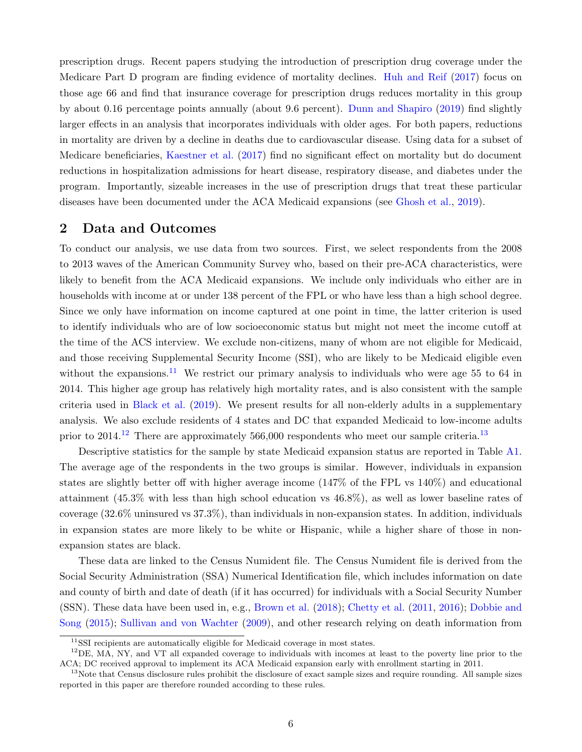prescription drugs. Recent papers studying the introduction of prescription drug coverage under the Medicare Part D program are finding evidence of mortality declines. [Huh and Reif](#page--1-65) [\(2017\)](#page--1-65) focus on those age 66 and find that insurance coverage for prescription drugs reduces mortality in this group by about 0.16 percentage points annually (about 9.6 percent). [Dunn and Shapiro](#page--1-66) [\(2019\)](#page--1-66) find slightly larger effects in an analysis that incorporates individuals with older ages. For both papers, reductions in mortality are driven by a decline in deaths due to cardiovascular disease. Using data for a subset of Medicare beneficiaries, [Kaestner et al.](#page--1-67) [\(2017\)](#page--1-67) find no significant effect on mortality but do document reductions in hospitalization admissions for heart disease, respiratory disease, and diabetes under the program. Importantly, sizeable increases in the use of prescription drugs that treat these particular diseases have been documented under the ACA Medicaid expansions (see [Ghosh et al.,](#page--1-9) [2019\)](#page--1-9).

## 2 Data and Outcomes

To conduct our analysis, we use data from two sources. First, we select respondents from the 2008 to 2013 waves of the American Community Survey who, based on their pre-ACA characteristics, were likely to benefit from the ACA Medicaid expansions. We include only individuals who either are in households with income at or under 138 percent of the FPL or who have less than a high school degree. Since we only have information on income captured at one point in time, the latter criterion is used to identify individuals who are of low socioeconomic status but might not meet the income cutoff at the time of the ACS interview. We exclude non-citizens, many of whom are not eligible for Medicaid, and those receiving Supplemental Security Income (SSI), who are likely to be Medicaid eligible even without the expansions.<sup>[11](#page--1-68)</sup> We restrict our primary analysis to individuals who were age 55 to 64 in 2014. This higher age group has relatively high mortality rates, and is also consistent with the sample criteria used in [Black et al.](#page--1-4) [\(2019\)](#page--1-4). We present results for all non-elderly adults in a supplementary analysis. We also exclude residents of 4 states and DC that expanded Medicaid to low-income adults prior to  $2014<sup>12</sup>$  $2014<sup>12</sup>$  $2014<sup>12</sup>$  There are approximately 566,000 respondents who meet our sample criteria.<sup>[13](#page--1-28)</sup>

Descriptive statistics for the sample by state Medicaid expansion status are reported in Table [A1.](#page--1-70) The average age of the respondents in the two groups is similar. However, individuals in expansion states are slightly better off with higher average income (147% of the FPL vs 140%) and educational attainment (45.3% with less than high school education vs 46.8%), as well as lower baseline rates of coverage (32.6% uninsured vs 37.3%), than individuals in non-expansion states. In addition, individuals in expansion states are more likely to be white or Hispanic, while a higher share of those in nonexpansion states are black.

These data are linked to the Census Numident file. The Census Numident file is derived from the Social Security Administration (SSA) Numerical Identification file, which includes information on date and county of birth and date of death (if it has occurred) for individuals with a Social Security Number (SSN). These data have been used in, e.g., [Brown et al.](#page--1-56) [\(2018\)](#page--1-56); [Chetty et al.](#page--1-4) [\(2011,](#page--1-4) [2016\)](#page--1-7); [Dobbie and](#page--1-11) [Song](#page--1-11) [\(2015\)](#page--1-11); [Sullivan and von Wachter](#page--1-71) [\(2009\)](#page--1-71), and other research relying on death information from

<sup>&</sup>lt;sup>11</sup>SSI recipients are automatically eligible for Medicaid coverage in most states.

 $12$ DE, MA, NY, and VT all expanded coverage to individuals with incomes at least to the poverty line prior to the ACA; DC received approval to implement its ACA Medicaid expansion early with enrollment starting in 2011.

<sup>&</sup>lt;sup>13</sup>Note that Census disclosure rules prohibit the disclosure of exact sample sizes and require rounding. All sample sizes reported in this paper are therefore rounded according to these rules.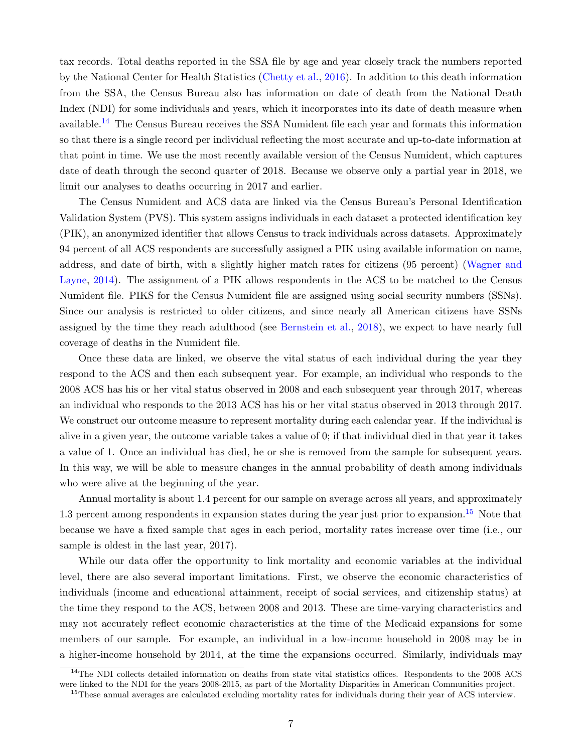tax records. Total deaths reported in the SSA file by age and year closely track the numbers reported by the National Center for Health Statistics [\(Chetty et al.,](#page--1-7) [2016\)](#page--1-7). In addition to this death information from the SSA, the Census Bureau also has information on date of death from the National Death Index (NDI) for some individuals and years, which it incorporates into its date of death measure when available.[14](#page--1-28) The Census Bureau receives the SSA Numident file each year and formats this information so that there is a single record per individual reflecting the most accurate and up-to-date information at that point in time. We use the most recently available version of the Census Numident, which captures date of death through the second quarter of 2018. Because we observe only a partial year in 2018, we limit our analyses to deaths occurring in 2017 and earlier.

The Census Numident and ACS data are linked via the Census Bureau's Personal Identification Validation System (PVS). This system assigns individuals in each dataset a protected identification key (PIK), an anonymized identifier that allows Census to track individuals across datasets. Approximately 94 percent of all ACS respondents are successfully assigned a PIK using available information on name, address, and date of birth, with a slightly higher match rates for citizens (95 percent) [\(Wagner and](#page--1-72) [Layne,](#page--1-72) [2014\)](#page--1-72). The assignment of a PIK allows respondents in the ACS to be matched to the Census Numident file. PIKS for the Census Numident file are assigned using social security numbers (SSNs). Since our analysis is restricted to older citizens, and since nearly all American citizens have SSNs assigned by the time they reach adulthood (see [Bernstein et al.,](#page--1-73) [2018\)](#page--1-73), we expect to have nearly full coverage of deaths in the Numident file.

Once these data are linked, we observe the vital status of each individual during the year they respond to the ACS and then each subsequent year. For example, an individual who responds to the 2008 ACS has his or her vital status observed in 2008 and each subsequent year through 2017, whereas an individual who responds to the 2013 ACS has his or her vital status observed in 2013 through 2017. We construct our outcome measure to represent mortality during each calendar year. If the individual is alive in a given year, the outcome variable takes a value of 0; if that individual died in that year it takes a value of 1. Once an individual has died, he or she is removed from the sample for subsequent years. In this way, we will be able to measure changes in the annual probability of death among individuals who were alive at the beginning of the year.

Annual mortality is about 1.4 percent for our sample on average across all years, and approximately 1.3 percent among respondents in expansion states during the year just prior to expansion.<sup>[15](#page--1-74)</sup> Note that because we have a fixed sample that ages in each period, mortality rates increase over time (i.e., our sample is oldest in the last year, 2017).

While our data offer the opportunity to link mortality and economic variables at the individual level, there are also several important limitations. First, we observe the economic characteristics of individuals (income and educational attainment, receipt of social services, and citizenship status) at the time they respond to the ACS, between 2008 and 2013. These are time-varying characteristics and may not accurately reflect economic characteristics at the time of the Medicaid expansions for some members of our sample. For example, an individual in a low-income household in 2008 may be in a higher-income household by 2014, at the time the expansions occurred. Similarly, individuals may

<sup>&</sup>lt;sup>14</sup>The NDI collects detailed information on deaths from state vital statistics offices. Respondents to the 2008 ACS were linked to the NDI for the years 2008-2015, as part of the Mortality Disparities in American Communities project.

<sup>&</sup>lt;sup>15</sup>These annual averages are calculated excluding mortality rates for individuals during their year of ACS interview.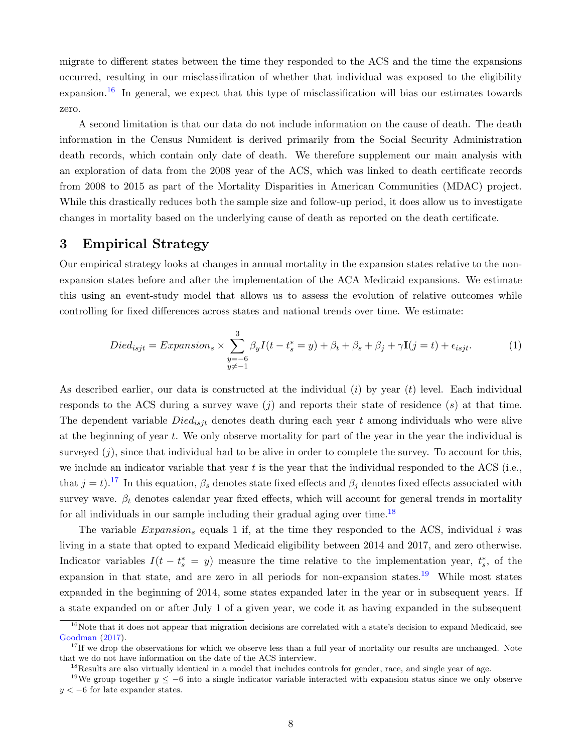migrate to different states between the time they responded to the ACS and the time the expansions occurred, resulting in our misclassification of whether that individual was exposed to the eligibility expansion.<sup>[16](#page--1-75)</sup> In general, we expect that this type of misclassification will bias our estimates towards zero.

A second limitation is that our data do not include information on the cause of death. The death information in the Census Numident is derived primarily from the Social Security Administration death records, which contain only date of death. We therefore supplement our main analysis with an exploration of data from the 2008 year of the ACS, which was linked to death certificate records from 2008 to 2015 as part of the Mortality Disparities in American Communities (MDAC) project. While this drastically reduces both the sample size and follow-up period, it does allow us to investigate changes in mortality based on the underlying cause of death as reported on the death certificate.

## 3 Empirical Strategy

Our empirical strategy looks at changes in annual mortality in the expansion states relative to the nonexpansion states before and after the implementation of the ACA Medicaid expansions. We estimate this using an event-study model that allows us to assess the evolution of relative outcomes while controlling for fixed differences across states and national trends over time. We estimate:

$$
Died_{isjt} = Expansion_s \times \sum_{\substack{y=-6\\y \neq -1}}^{3} \beta_y I(t - t_s^* = y) + \beta_t + \beta_s + \beta_j + \gamma \mathbf{I}(j = t) + \epsilon_{isjt}.
$$
 (1)

As described earlier, our data is constructed at the individual  $(i)$  by year  $(t)$  level. Each individual responds to the ACS during a survey wave  $(j)$  and reports their state of residence  $(s)$  at that time. The dependent variable  $Died_{isjt}$  denotes death during each year t among individuals who were alive at the beginning of year  $t$ . We only observe mortality for part of the year in the year the individual is surveyed  $(j)$ , since that individual had to be alive in order to complete the survey. To account for this, we include an indicator variable that year t is the year that the individual responded to the ACS (i.e., that  $j = t$ ).<sup>[17](#page--1-76)</sup> In this equation,  $\beta_s$  denotes state fixed effects and  $\beta_j$  denotes fixed effects associated with survey wave.  $\beta_t$  denotes calendar year fixed effects, which will account for general trends in mortality for all individuals in our sample including their gradual aging over time.<sup>[18](#page--1-77)</sup>

The variable Expansion<sub>s</sub> equals 1 if, at the time they responded to the ACS, individual i was living in a state that opted to expand Medicaid eligibility between 2014 and 2017, and zero otherwise. Indicator variables  $I(t - t_s^* = y)$  measure the time relative to the implementation year,  $t_s^*$ , of the expansion in that state, and are zero in all periods for non-expansion states.<sup>[19](#page--1-78)</sup> While most states expanded in the beginning of 2014, some states expanded later in the year or in subsequent years. If a state expanded on or after July 1 of a given year, we code it as having expanded in the subsequent

<sup>&</sup>lt;sup>16</sup>Note that it does not appear that migration decisions are correlated with a state's decision to expand Medicaid, see [Goodman](#page--1-79) [\(2017\)](#page--1-79).

 $17$ If we drop the observations for which we observe less than a full year of mortality our results are unchanged. Note that we do not have information on the date of the ACS interview.

<sup>&</sup>lt;sup>18</sup>Results are also virtually identical in a model that includes controls for gender, race, and single year of age.

<sup>&</sup>lt;sup>19</sup>We group together  $y \le -6$  into a single indicator variable interacted with expansion status since we only observe  $y < -6$  for late expander states.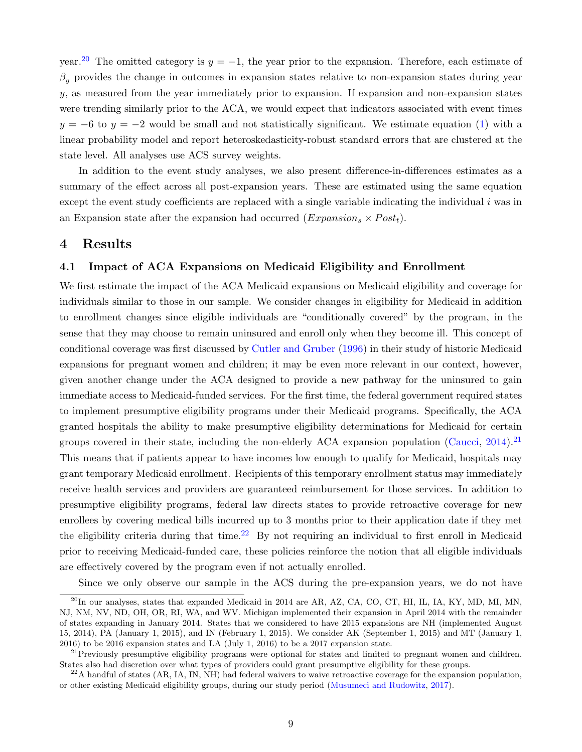year.<sup>[20](#page--1-80)</sup> The omitted category is  $y = -1$ , the year prior to the expansion. Therefore, each estimate of  $\beta_y$  provides the change in outcomes in expansion states relative to non-expansion states during year y, as measured from the year immediately prior to expansion. If expansion and non-expansion states were trending similarly prior to the ACA, we would expect that indicators associated with event times  $y = -6$  to  $y = -2$  would be small and not statistically significant. We estimate equation [\(1\)](#page--1-81) with a linear probability model and report heteroskedasticity-robust standard errors that are clustered at the state level. All analyses use ACS survey weights.

In addition to the event study analyses, we also present difference-in-differences estimates as a summary of the effect across all post-expansion years. These are estimated using the same equation except the event study coefficients are replaced with a single variable indicating the individual  $i$  was in an Expansion state after the expansion had occurred  $(Expansion_s \times Post_t)$ .

## 4 Results

#### 4.1 Impact of ACA Expansions on Medicaid Eligibility and Enrollment

We first estimate the impact of the ACA Medicaid expansions on Medicaid eligibility and coverage for individuals similar to those in our sample. We consider changes in eligibility for Medicaid in addition to enrollment changes since eligible individuals are "conditionally covered" by the program, in the sense that they may choose to remain uninsured and enroll only when they become ill. This concept of conditional coverage was first discussed by [Cutler and Gruber](#page--1-16) [\(1996\)](#page--1-16) in their study of historic Medicaid expansions for pregnant women and children; it may be even more relevant in our context, however, given another change under the ACA designed to provide a new pathway for the uninsured to gain immediate access to Medicaid-funded services. For the first time, the federal government required states to implement presumptive eligibility programs under their Medicaid programs. Specifically, the ACA granted hospitals the ability to make presumptive eligibility determinations for Medicaid for certain groups covered in their state, including the non-elderly ACA expansion population [\(Caucci,](#page--1-13) [2014\)](#page--1-13).<sup>[21](#page--1-82)</sup> This means that if patients appear to have incomes low enough to qualify for Medicaid, hospitals may grant temporary Medicaid enrollment. Recipients of this temporary enrollment status may immediately receive health services and providers are guaranteed reimbursement for those services. In addition to presumptive eligibility programs, federal law directs states to provide retroactive coverage for new enrollees by covering medical bills incurred up to 3 months prior to their application date if they met the eligibility criteria during that time.<sup>[22](#page--1-83)</sup> By not requiring an individual to first enroll in Medicaid prior to receiving Medicaid-funded care, these policies reinforce the notion that all eligible individuals are effectively covered by the program even if not actually enrolled.

Since we only observe our sample in the ACS during the pre-expansion years, we do not have

 $^{20}$ In our analyses, states that expanded Medicaid in 2014 are AR, AZ, CA, CO, CT, HI, IL, IA, KY, MD, MI, MN, NJ, NM, NV, ND, OH, OR, RI, WA, and WV. Michigan implemented their expansion in April 2014 with the remainder of states expanding in January 2014. States that we considered to have 2015 expansions are NH (implemented August 15, 2014), PA (January 1, 2015), and IN (February 1, 2015). We consider AK (September 1, 2015) and MT (January 1, 2016) to be 2016 expansion states and LA (July 1, 2016) to be a 2017 expansion state.

 $^{21}$ Previously presumptive eligibility programs were optional for states and limited to pregnant women and children. States also had discretion over what types of providers could grant presumptive eligibility for these groups.

 $^{22}$ A handful of states (AR, IA, IN, NH) had federal waivers to waive retroactive coverage for the expansion population, or other existing Medicaid eligibility groups, during our study period [\(Musumeci and Rudowitz,](#page--1-84) [2017\)](#page--1-84).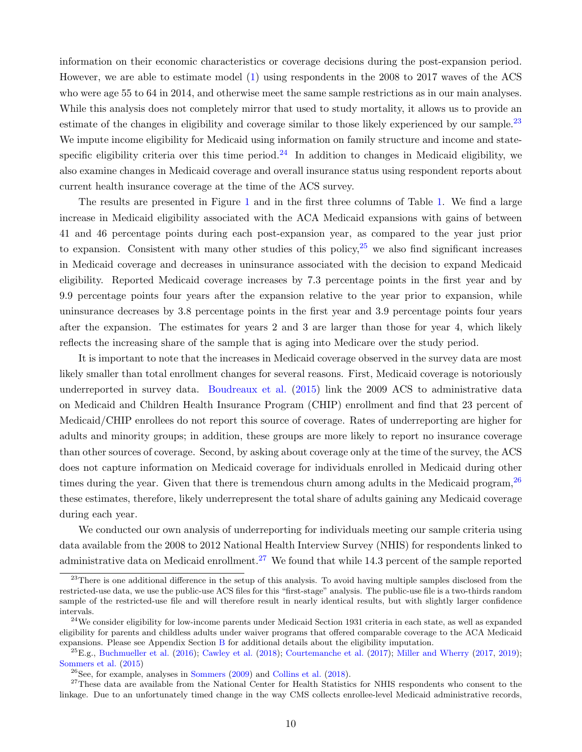information on their economic characteristics or coverage decisions during the post-expansion period. However, we are able to estimate model [\(1\)](#page--1-81) using respondents in the 2008 to 2017 waves of the ACS who were age 55 to 64 in 2014, and otherwise meet the same sample restrictions as in our main analyses. While this analysis does not completely mirror that used to study mortality, it allows us to provide an estimate of the changes in eligibility and coverage similar to those likely experienced by our sample.<sup>[23](#page--1-47)</sup> We impute income eligibility for Medicaid using information on family structure and income and state-specific eligibility criteria over this time period.<sup>[24](#page--1-85)</sup> In addition to changes in Medicaid eligibility, we also examine changes in Medicaid coverage and overall insurance status using respondent reports about current health insurance coverage at the time of the ACS survey.

The results are presented in Figure [1](#page--1-86) and in the first three columns of Table [1.](#page--1-86) We find a large increase in Medicaid eligibility associated with the ACA Medicaid expansions with gains of between 41 and 46 percentage points during each post-expansion year, as compared to the year just prior to expansion. Consistent with many other studies of this policy,  $2^5$  we also find significant increases in Medicaid coverage and decreases in uninsurance associated with the decision to expand Medicaid eligibility. Reported Medicaid coverage increases by 7.3 percentage points in the first year and by 9.9 percentage points four years after the expansion relative to the year prior to expansion, while uninsurance decreases by 3.8 percentage points in the first year and 3.9 percentage points four years after the expansion. The estimates for years 2 and 3 are larger than those for year 4, which likely reflects the increasing share of the sample that is aging into Medicare over the study period.

It is important to note that the increases in Medicaid coverage observed in the survey data are most likely smaller than total enrollment changes for several reasons. First, Medicaid coverage is notoriously underreported in survey data. [Boudreaux et al.](#page--1-87) [\(2015\)](#page--1-87) link the 2009 ACS to administrative data on Medicaid and Children Health Insurance Program (CHIP) enrollment and find that 23 percent of Medicaid/CHIP enrollees do not report this source of coverage. Rates of underreporting are higher for adults and minority groups; in addition, these groups are more likely to report no insurance coverage than other sources of coverage. Second, by asking about coverage only at the time of the survey, the ACS does not capture information on Medicaid coverage for individuals enrolled in Medicaid during other times during the year. Given that there is tremendous churn among adults in the Medicaid program,  $^{26}$  $^{26}$  $^{26}$ these estimates, therefore, likely underrepresent the total share of adults gaining any Medicaid coverage during each year.

We conducted our own analysis of underreporting for individuals meeting our sample criteria using data available from the 2008 to 2012 National Health Interview Survey (NHIS) for respondents linked to administrative data on Medicaid enrollment.<sup>[27](#page--1-23)</sup> We found that while 14.3 percent of the sample reported

<sup>&</sup>lt;sup>23</sup>There is one additional difference in the setup of this analysis. To avoid having multiple samples disclosed from the restricted-use data, we use the public-use ACS files for this "first-stage" analysis. The public-use file is a two-thirds random sample of the restricted-use file and will therefore result in nearly identical results, but with slightly larger confidence intervals.

 $24$ We consider eligibility for low-income parents under Medicaid Section 1931 criteria in each state, as well as expanded eligibility for parents and childless adults under waiver programs that offered comparable coverage to the ACA Medicaid expansions. Please see Appendix Section [B](#page--1-88) for additional details about the eligibility imputation.

<sup>&</sup>lt;sup>25</sup>E.g., [Buchmueller et al.](#page--1-35) [\(2016\)](#page--1-35); [Cawley et al.](#page--1-29) [\(2018\)](#page--1-29); [Courtemanche et al.](#page--1-37) [\(2017\)](#page--1-37); [Miller and Wherry](#page--1-40) [\(2017,](#page--1-40) [2019\)](#page--1-41); [Sommers et al.](#page--1-42) [\(2015\)](#page--1-42)

 $26$ See, for example, analyses in [Sommers](#page--1-89) [\(2009\)](#page--1-89) and [Collins et al.](#page--1-90) [\(2018\)](#page--1-90).

 $27$ These data are available from the National Center for Health Statistics for NHIS respondents who consent to the linkage. Due to an unfortunately timed change in the way CMS collects enrollee-level Medicaid administrative records,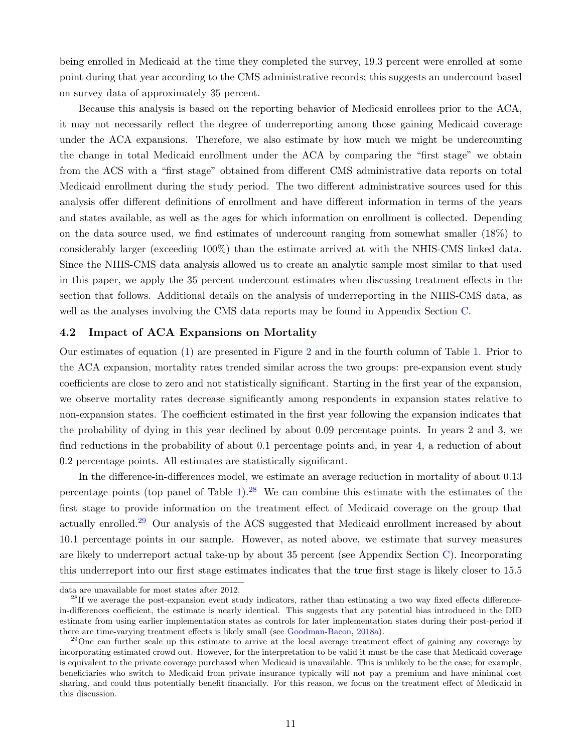being enrolled in Medicaid at the time they completed the survey, 19.3 percent were enrolled at some point during that year according to the CMS administrative records; this suggests an undercount based on survey data of approximately 35 percent.

Because this analysis is based on the reporting behavior of Medicaid enrollees prior to the ACA, it may not necessarily reflect the degree of underreporting among those gaining Medicaid coverage under the ACA expansions. Therefore, we also estimate by how much we might be undercounting the change in total Medicaid enrollment under the ACA by comparing the "first stage" we obtain from the ACS with a "first stage" obtained from different CMS administrative data reports on total Medicaid enrollment during the study period. The two different administrative sources used for this analysis offer different definitions of enrollment and have different information in terms of the years and states available, as well as the ages for which information on enrollment is collected. Depending on the data source used, we find estimates of undercount ranging from somewhat smaller (18%) to considerably larger (exceeding 100%) than the estimate arrived at with the NHIS-CMS linked data. Since the NHIS-CMS data analysis allowed us to create an analytic sample most similar to that used in this paper, we apply the 35 percent undercount estimates when discussing treatment effects in the section that follows. Additional details on the analysis of underreporting in the NHIS-CMS data, as well as the analyses involving the CMS data reports may be found in Appendix Section [C.](#page--1-91)

#### 4.2 Impact of ACA Expansions on Mortality

Our estimates of equation [\(1\)](#page--1-81) are presented in Figure [2](#page--1-92) and in the fourth column of Table [1.](#page--1-86) Prior to the ACA expansion, mortality rates trended similar across the two groups: pre-expansion event study coefficients are close to zero and not statistically significant. Starting in the first year of the expansion, we observe mortality rates decrease significantly among respondents in expansion states relative to non-expansion states. The coefficient estimated in the first year following the expansion indicates that the probability of dying in this year declined by about 0.09 percentage points. In years 2 and 3, we find reductions in the probability of about 0.1 percentage points and, in year 4, a reduction of about 0.2 percentage points. All estimates are statistically significant.

In the difference-in-differences model, we estimate an average reduction in mortality of about 0.13 percentage points (top panel of Table [1\)](#page--1-86).<sup>[28](#page--1-93)</sup> We can combine this estimate with the estimates of the first stage to provide information on the treatment effect of Medicaid coverage on the group that actually enrolled.<sup>[29](#page--1-94)</sup> Our analysis of the ACS suggested that Medicaid enrollment increased by about 10.1 percentage points in our sample. However, as noted above, we estimate that survey measures are likely to underreport actual take-up by about 35 percent (see Appendix Section [C\)](#page--1-91). Incorporating this underreport into our first stage estimates indicates that the true first stage is likely closer to 15.5

data are unavailable for most states after 2012.

<sup>&</sup>lt;sup>28</sup>If we average the post-expansion event study indicators, rather than estimating a two way fixed effects differencein-differences coefficient, the estimate is nearly identical. This suggests that any potential bias introduced in the DID estimate from using earlier implementation states as controls for later implementation states during their post-period if there are time-varying treatment effects is likely small (see [Goodman-Bacon,](#page--1-95) [2018a\)](#page--1-95).

 $29$ One can further scale up this estimate to arrive at the local average treatment effect of gaining any coverage by incorporating estimated crowd out. However, for the interpretation to be valid it must be the case that Medicaid coverage is equivalent to the private coverage purchased when Medicaid is unavailable. This is unlikely to be the case; for example, beneficiaries who switch to Medicaid from private insurance typically will not pay a premium and have minimal cost sharing, and could thus potentially benefit financially. For this reason, we focus on the treatment effect of Medicaid in this discussion.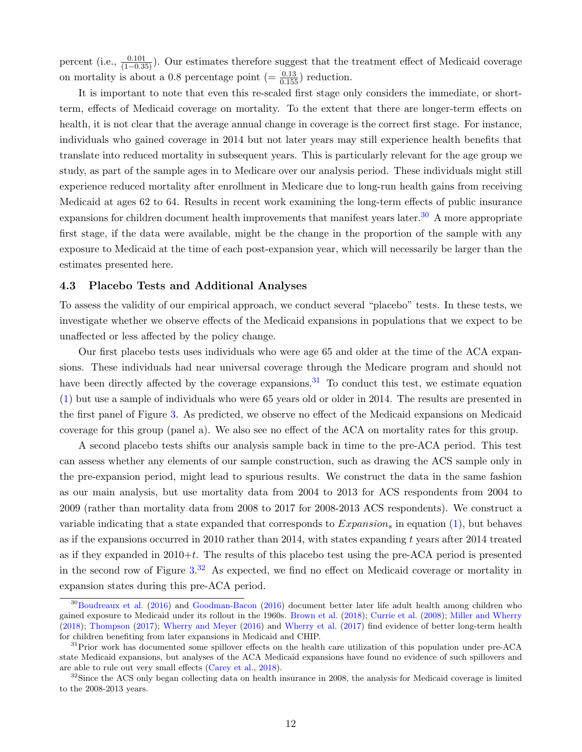percent (i.e.,  $\frac{0.101}{(1-0.35)}$ ). Our estimates therefore suggest that the treatment effect of Medicaid coverage on mortality is about a 0.8 percentage point  $(=\frac{0.13}{0.155})$  reduction.

It is important to note that even this re-scaled first stage only considers the immediate, or shortterm, effects of Medicaid coverage on mortality. To the extent that there are longer-term effects on health, it is not clear that the average annual change in coverage is the correct first stage. For instance, individuals who gained coverage in 2014 but not later years may still experience health benefits that translate into reduced mortality in subsequent years. This is particularly relevant for the age group we study, as part of the sample ages in to Medicare over our analysis period. These individuals might still experience reduced mortality after enrollment in Medicare due to long-run health gains from receiving Medicaid at ages 62 to 64. Results in recent work examining the long-term effects of public insurance expansions for children document health improvements that manifest years later.<sup>[30](#page--1-96)</sup> A more appropriate first stage, if the data were available, might be the change in the proportion of the sample with any exposure to Medicaid at the time of each post-expansion year, which will necessarily be larger than the estimates presented here.

#### 4.3 Placebo Tests and Additional Analyses

To assess the validity of our empirical approach, we conduct several "placebo" tests. In these tests, we investigate whether we observe effects of the Medicaid expansions in populations that we expect to be unaffected or less affected by the policy change.

Our first placebo tests uses individuals who were age 65 and older at the time of the ACA expansions. These individuals had near universal coverage through the Medicare program and should not have been directly affected by the coverage expansions.<sup>[31](#page--1-97)</sup> To conduct this test, we estimate equation [\(1\)](#page--1-81) but use a sample of individuals who were 65 years old or older in 2014. The results are presented in the first panel of Figure [3.](#page--1-86) As predicted, we observe no effect of the Medicaid expansions on Medicaid coverage for this group (panel a). We also see no effect of the ACA on mortality rates for this group.

A second placebo tests shifts our analysis sample back in time to the pre-ACA period. This test can assess whether any elements of our sample construction, such as drawing the ACS sample only in the pre-expansion period, might lead to spurious results. We construct the data in the same fashion as our main analysis, but use mortality data from 2004 to 2013 for ACS respondents from 2004 to 2009 (rather than mortality data from 2008 to 2017 for 2008-2013 ACS respondents). We construct a variable indicating that a state expanded that corresponds to  $Expansion_s$  in equation [\(1\)](#page--1-81), but behaves as if the expansions occurred in 2010 rather than 2014, with states expanding t years after 2014 treated as if they expanded in  $2010+t$ . The results of this placebo test using the pre-ACA period is presented in the second row of Figure  $3^{32}$  $3^{32}$  $3^{32}$  As expected, we find no effect on Medicaid coverage or mortality in expansion states during this pre-ACA period.

<sup>&</sup>lt;sup>30</sup>[Boudreaux et al.](#page--1-99) [\(2016\)](#page--1-57) and [Goodman-Bacon](#page--1-57) (2016) document better later life adult health among children who gained exposure to Medicaid under its rollout in the 1960s. [Brown et al.](#page--1-56) [\(2018\)](#page--1-56); [Currie et al.](#page--1-100) [\(2008\)](#page--1-100); [Miller and Wherry](#page--1-101) [\(2018\)](#page--1-101); [Thompson](#page--1-102) [\(2017\)](#page--1-102); [Wherry and Meyer](#page--1-58) [\(2016\)](#page--1-58) and [Wherry et al.](#page--1-36) [\(2017\)](#page--1-36) find evidence of better long-term health for children benefiting from later expansions in Medicaid and CHIP.

<sup>&</sup>lt;sup>31</sup>Prior work has documented some spillover effects on the health care utilization of this population under pre-ACA state Medicaid expansions, but analyses of the ACA Medicaid expansions have found no evidence of such spillovers and are able to rule out very small effects [\(Carey et al.,](#page--1-45) [2018\)](#page--1-45).

<sup>&</sup>lt;sup>32</sup>Since the ACS only began collecting data on health insurance in 2008, the analysis for Medicaid coverage is limited to the 2008-2013 years.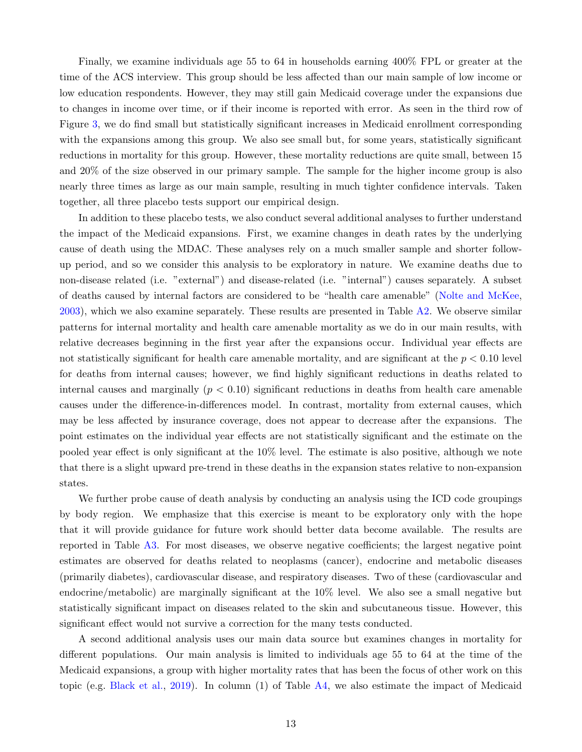Finally, we examine individuals age 55 to 64 in households earning 400% FPL or greater at the time of the ACS interview. This group should be less affected than our main sample of low income or low education respondents. However, they may still gain Medicaid coverage under the expansions due to changes in income over time, or if their income is reported with error. As seen in the third row of Figure [3,](#page--1-86) we do find small but statistically significant increases in Medicaid enrollment corresponding with the expansions among this group. We also see small but, for some years, statistically significant reductions in mortality for this group. However, these mortality reductions are quite small, between 15 and 20% of the size observed in our primary sample. The sample for the higher income group is also nearly three times as large as our main sample, resulting in much tighter confidence intervals. Taken together, all three placebo tests support our empirical design.

In addition to these placebo tests, we also conduct several additional analyses to further understand the impact of the Medicaid expansions. First, we examine changes in death rates by the underlying cause of death using the MDAC. These analyses rely on a much smaller sample and shorter followup period, and so we consider this analysis to be exploratory in nature. We examine deaths due to non-disease related (i.e. "external") and disease-related (i.e. "internal") causes separately. A subset of deaths caused by internal factors are considered to be "health care amenable" [\(Nolte and McKee,](#page--1-38) [2003\)](#page--1-38), which we also examine separately. These results are presented in Table [A2.](#page--1-86) We observe similar patterns for internal mortality and health care amenable mortality as we do in our main results, with relative decreases beginning in the first year after the expansions occur. Individual year effects are not statistically significant for health care amenable mortality, and are significant at the  $p < 0.10$  level for deaths from internal causes; however, we find highly significant reductions in deaths related to internal causes and marginally  $(p < 0.10)$  significant reductions in deaths from health care amenable causes under the difference-in-differences model. In contrast, mortality from external causes, which may be less affected by insurance coverage, does not appear to decrease after the expansions. The point estimates on the individual year effects are not statistically significant and the estimate on the pooled year effect is only significant at the 10% level. The estimate is also positive, although we note that there is a slight upward pre-trend in these deaths in the expansion states relative to non-expansion states.

We further probe cause of death analysis by conducting an analysis using the ICD code groupings by body region. We emphasize that this exercise is meant to be exploratory only with the hope that it will provide guidance for future work should better data become available. The results are reported in Table [A3.](#page--1-86) For most diseases, we observe negative coefficients; the largest negative point estimates are observed for deaths related to neoplasms (cancer), endocrine and metabolic diseases (primarily diabetes), cardiovascular disease, and respiratory diseases. Two of these (cardiovascular and endocrine/metabolic) are marginally significant at the 10% level. We also see a small negative but statistically significant impact on diseases related to the skin and subcutaneous tissue. However, this significant effect would not survive a correction for the many tests conducted.

A second additional analysis uses our main data source but examines changes in mortality for different populations. Our main analysis is limited to individuals age 55 to 64 at the time of the Medicaid expansions, a group with higher mortality rates that has been the focus of other work on this topic (e.g. [Black et al.,](#page--1-4) [2019\)](#page--1-4). In column (1) of Table [A4,](#page--1-86) we also estimate the impact of Medicaid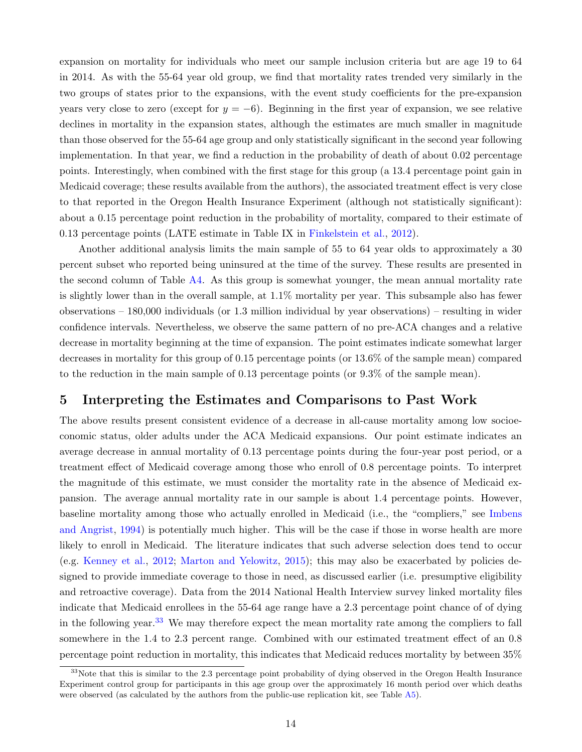expansion on mortality for individuals who meet our sample inclusion criteria but are age 19 to 64 in 2014. As with the 55-64 year old group, we find that mortality rates trended very similarly in the two groups of states prior to the expansions, with the event study coefficients for the pre-expansion years very close to zero (except for  $y = -6$ ). Beginning in the first year of expansion, we see relative declines in mortality in the expansion states, although the estimates are much smaller in magnitude than those observed for the 55-64 age group and only statistically significant in the second year following implementation. In that year, we find a reduction in the probability of death of about 0.02 percentage points. Interestingly, when combined with the first stage for this group (a 13.4 percentage point gain in Medicaid coverage; these results available from the authors), the associated treatment effect is very close to that reported in the Oregon Health Insurance Experiment (although not statistically significant): about a 0.15 percentage point reduction in the probability of mortality, compared to their estimate of 0.13 percentage points (LATE estimate in Table IX in [Finkelstein et al.,](#page--1-3) [2012\)](#page--1-3).

Another additional analysis limits the main sample of 55 to 64 year olds to approximately a 30 percent subset who reported being uninsured at the time of the survey. These results are presented in the second column of Table [A4.](#page--1-86) As this group is somewhat younger, the mean annual mortality rate is slightly lower than in the overall sample, at 1.1% mortality per year. This subsample also has fewer observations – 180,000 individuals (or 1.3 million individual by year observations) – resulting in wider confidence intervals. Nevertheless, we observe the same pattern of no pre-ACA changes and a relative decrease in mortality beginning at the time of expansion. The point estimates indicate somewhat larger decreases in mortality for this group of 0.15 percentage points (or 13.6% of the sample mean) compared to the reduction in the main sample of 0.13 percentage points (or 9.3% of the sample mean).

## 5 Interpreting the Estimates and Comparisons to Past Work

The above results present consistent evidence of a decrease in all-cause mortality among low socioeconomic status, older adults under the ACA Medicaid expansions. Our point estimate indicates an average decrease in annual mortality of 0.13 percentage points during the four-year post period, or a treatment effect of Medicaid coverage among those who enroll of 0.8 percentage points. To interpret the magnitude of this estimate, we must consider the mortality rate in the absence of Medicaid expansion. The average annual mortality rate in our sample is about 1.4 percentage points. However, baseline mortality among those who actually enrolled in Medicaid (i.e., the "compliers," see [Imbens](#page--1-103) [and Angrist,](#page--1-103) [1994\)](#page--1-103) is potentially much higher. This will be the case if those in worse health are more likely to enroll in Medicaid. The literature indicates that such adverse selection does tend to occur (e.g. [Kenney et al.,](#page--1-79) [2012;](#page--1-79) [Marton and Yelowitz,](#page--1-104) [2015\)](#page--1-104); this may also be exacerbated by policies designed to provide immediate coverage to those in need, as discussed earlier (i.e. presumptive eligibility and retroactive coverage). Data from the 2014 National Health Interview survey linked mortality files indicate that Medicaid enrollees in the 55-64 age range have a 2.3 percentage point chance of of dying in the following year.<sup>[33](#page--1-28)</sup> We may therefore expect the mean mortality rate among the compliers to fall somewhere in the 1.4 to 2.3 percent range. Combined with our estimated treatment effect of an 0.8 percentage point reduction in mortality, this indicates that Medicaid reduces mortality by between 35%

<sup>&</sup>lt;sup>33</sup>Note that this is similar to the 2.3 percentage point probability of dying observed in the Oregon Health Insurance Experiment control group for participants in this age group over the approximately 16 month period over which deaths were observed (as calculated by the authors from the public-use replication kit, see Table [A5\)](#page--1-105).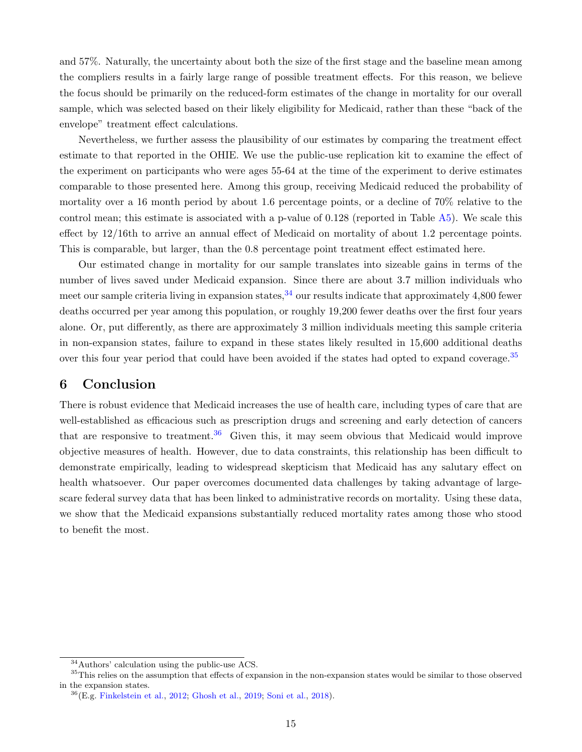and 57%. Naturally, the uncertainty about both the size of the first stage and the baseline mean among the compliers results in a fairly large range of possible treatment effects. For this reason, we believe the focus should be primarily on the reduced-form estimates of the change in mortality for our overall sample, which was selected based on their likely eligibility for Medicaid, rather than these "back of the envelope" treatment effect calculations.

Nevertheless, we further assess the plausibility of our estimates by comparing the treatment effect estimate to that reported in the OHIE. We use the public-use replication kit to examine the effect of the experiment on participants who were ages 55-64 at the time of the experiment to derive estimates comparable to those presented here. Among this group, receiving Medicaid reduced the probability of mortality over a 16 month period by about 1.6 percentage points, or a decline of 70% relative to the control mean; this estimate is associated with a p-value of 0.128 (reported in Table [A5\)](#page--1-105). We scale this effect by 12/16th to arrive an annual effect of Medicaid on mortality of about 1.2 percentage points. This is comparable, but larger, than the 0.8 percentage point treatment effect estimated here.

Our estimated change in mortality for our sample translates into sizeable gains in terms of the number of lives saved under Medicaid expansion. Since there are about 3.7 million individuals who meet our sample criteria living in expansion states,  $34$  our results indicate that approximately 4,800 fewer deaths occurred per year among this population, or roughly 19,200 fewer deaths over the first four years alone. Or, put differently, as there are approximately 3 million individuals meeting this sample criteria in non-expansion states, failure to expand in these states likely resulted in 15,600 additional deaths over this four year period that could have been avoided if the states had opted to expand coverage.<sup>[35](#page--1-83)</sup>

# 6 Conclusion

There is robust evidence that Medicaid increases the use of health care, including types of care that are well-established as efficacious such as prescription drugs and screening and early detection of cancers that are responsive to treatment.<sup>[36](#page--1-107)</sup> Given this, it may seem obvious that Medicaid would improve objective measures of health. However, due to data constraints, this relationship has been difficult to demonstrate empirically, leading to widespread skepticism that Medicaid has any salutary effect on health whatsoever. Our paper overcomes documented data challenges by taking advantage of largescare federal survey data that has been linked to administrative records on mortality. Using these data, we show that the Medicaid expansions substantially reduced mortality rates among those who stood to benefit the most.

<sup>34</sup>Authors' calculation using the public-use ACS.

<sup>&</sup>lt;sup>35</sup>This relies on the assumption that effects of expansion in the non-expansion states would be similar to those observed in the expansion states.

<sup>36</sup>(E.g. [Finkelstein et al.,](#page--1-3) [2012;](#page--1-3) [Ghosh et al.,](#page--1-9) [2019;](#page--1-9) [Soni et al.,](#page--1-19) [2018\)](#page--1-19).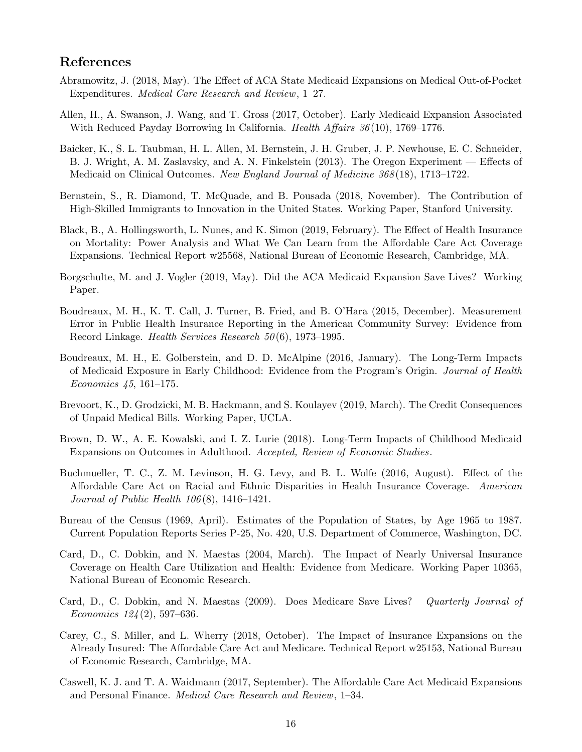# References

- Abramowitz, J. (2018, May). The Effect of ACA State Medicaid Expansions on Medical Out-of-Pocket Expenditures. Medical Care Research and Review, 1–27.
- Allen, H., A. Swanson, J. Wang, and T. Gross (2017, October). Early Medicaid Expansion Associated With Reduced Payday Borrowing In California. *Health Affairs*  $36(10)$ , 1769–1776.
- Baicker, K., S. L. Taubman, H. L. Allen, M. Bernstein, J. H. Gruber, J. P. Newhouse, E. C. Schneider, B. J. Wright, A. M. Zaslavsky, and A. N. Finkelstein (2013). The Oregon Experiment — Effects of Medicaid on Clinical Outcomes. New England Journal of Medicine 368 (18), 1713–1722.
- Bernstein, S., R. Diamond, T. McQuade, and B. Pousada (2018, November). The Contribution of High-Skilled Immigrants to Innovation in the United States. Working Paper, Stanford University.
- Black, B., A. Hollingsworth, L. Nunes, and K. Simon (2019, February). The Effect of Health Insurance on Mortality: Power Analysis and What We Can Learn from the Affordable Care Act Coverage Expansions. Technical Report w25568, National Bureau of Economic Research, Cambridge, MA.
- Borgschulte, M. and J. Vogler (2019, May). Did the ACA Medicaid Expansion Save Lives? Working Paper.
- Boudreaux, M. H., K. T. Call, J. Turner, B. Fried, and B. O'Hara (2015, December). Measurement Error in Public Health Insurance Reporting in the American Community Survey: Evidence from Record Linkage. Health Services Research 50 (6), 1973–1995.
- Boudreaux, M. H., E. Golberstein, and D. D. McAlpine (2016, January). The Long-Term Impacts of Medicaid Exposure in Early Childhood: Evidence from the Program's Origin. Journal of Health Economics 45, 161–175.
- Brevoort, K., D. Grodzicki, M. B. Hackmann, and S. Koulayev (2019, March). The Credit Consequences of Unpaid Medical Bills. Working Paper, UCLA.
- Brown, D. W., A. E. Kowalski, and I. Z. Lurie (2018). Long-Term Impacts of Childhood Medicaid Expansions on Outcomes in Adulthood. Accepted, Review of Economic Studies.
- Buchmueller, T. C., Z. M. Levinson, H. G. Levy, and B. L. Wolfe (2016, August). Effect of the Affordable Care Act on Racial and Ethnic Disparities in Health Insurance Coverage. American Journal of Public Health  $106(8)$ , 1416–1421.
- Bureau of the Census (1969, April). Estimates of the Population of States, by Age 1965 to 1987. Current Population Reports Series P-25, No. 420, U.S. Department of Commerce, Washington, DC.
- Card, D., C. Dobkin, and N. Maestas (2004, March). The Impact of Nearly Universal Insurance Coverage on Health Care Utilization and Health: Evidence from Medicare. Working Paper 10365, National Bureau of Economic Research.
- Card, D., C. Dobkin, and N. Maestas (2009). Does Medicare Save Lives? Quarterly Journal of Economics  $124(2)$ , 597–636.
- Carey, C., S. Miller, and L. Wherry (2018, October). The Impact of Insurance Expansions on the Already Insured: The Affordable Care Act and Medicare. Technical Report w25153, National Bureau of Economic Research, Cambridge, MA.
- Caswell, K. J. and T. A. Waidmann (2017, September). The Affordable Care Act Medicaid Expansions and Personal Finance. Medical Care Research and Review, 1–34.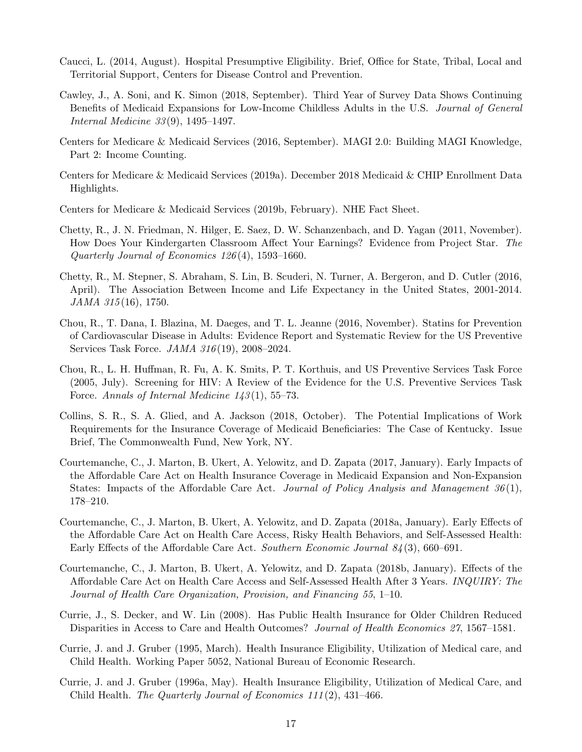- Caucci, L. (2014, August). Hospital Presumptive Eligibility. Brief, Office for State, Tribal, Local and Territorial Support, Centers for Disease Control and Prevention.
- Cawley, J., A. Soni, and K. Simon (2018, September). Third Year of Survey Data Shows Continuing Benefits of Medicaid Expansions for Low-Income Childless Adults in the U.S. Journal of General Internal Medicine 33 (9), 1495–1497.
- Centers for Medicare & Medicaid Services (2016, September). MAGI 2.0: Building MAGI Knowledge, Part 2: Income Counting.
- Centers for Medicare & Medicaid Services (2019a). December 2018 Medicaid & CHIP Enrollment Data Highlights.
- Centers for Medicare & Medicaid Services (2019b, February). NHE Fact Sheet.
- Chetty, R., J. N. Friedman, N. Hilger, E. Saez, D. W. Schanzenbach, and D. Yagan (2011, November). How Does Your Kindergarten Classroom Affect Your Earnings? Evidence from Project Star. The Quarterly Journal of Economics 126 (4), 1593–1660.
- Chetty, R., M. Stepner, S. Abraham, S. Lin, B. Scuderi, N. Turner, A. Bergeron, and D. Cutler (2016, April). The Association Between Income and Life Expectancy in the United States, 2001-2014. JAMA 315(16), 1750.
- Chou, R., T. Dana, I. Blazina, M. Daeges, and T. L. Jeanne (2016, November). Statins for Prevention of Cardiovascular Disease in Adults: Evidence Report and Systematic Review for the US Preventive Services Task Force. JAMA 316 (19), 2008–2024.
- Chou, R., L. H. Huffman, R. Fu, A. K. Smits, P. T. Korthuis, and US Preventive Services Task Force (2005, July). Screening for HIV: A Review of the Evidence for the U.S. Preventive Services Task Force. Annals of Internal Medicine 143(1), 55–73.
- Collins, S. R., S. A. Glied, and A. Jackson (2018, October). The Potential Implications of Work Requirements for the Insurance Coverage of Medicaid Beneficiaries: The Case of Kentucky. Issue Brief, The Commonwealth Fund, New York, NY.
- Courtemanche, C., J. Marton, B. Ukert, A. Yelowitz, and D. Zapata (2017, January). Early Impacts of the Affordable Care Act on Health Insurance Coverage in Medicaid Expansion and Non-Expansion States: Impacts of the Affordable Care Act. Journal of Policy Analysis and Management  $36(1)$ , 178–210.
- Courtemanche, C., J. Marton, B. Ukert, A. Yelowitz, and D. Zapata (2018a, January). Early Effects of the Affordable Care Act on Health Care Access, Risky Health Behaviors, and Self-Assessed Health: Early Effects of the Affordable Care Act. Southern Economic Journal 84 (3), 660–691.
- Courtemanche, C., J. Marton, B. Ukert, A. Yelowitz, and D. Zapata (2018b, January). Effects of the Affordable Care Act on Health Care Access and Self-Assessed Health After 3 Years. INQUIRY: The Journal of Health Care Organization, Provision, and Financing 55, 1–10.
- Currie, J., S. Decker, and W. Lin (2008). Has Public Health Insurance for Older Children Reduced Disparities in Access to Care and Health Outcomes? Journal of Health Economics 27, 1567–1581.
- Currie, J. and J. Gruber (1995, March). Health Insurance Eligibility, Utilization of Medical care, and Child Health. Working Paper 5052, National Bureau of Economic Research.
- Currie, J. and J. Gruber (1996a, May). Health Insurance Eligibility, Utilization of Medical Care, and Child Health. The Quarterly Journal of Economics  $111(2)$ ,  $431-466$ .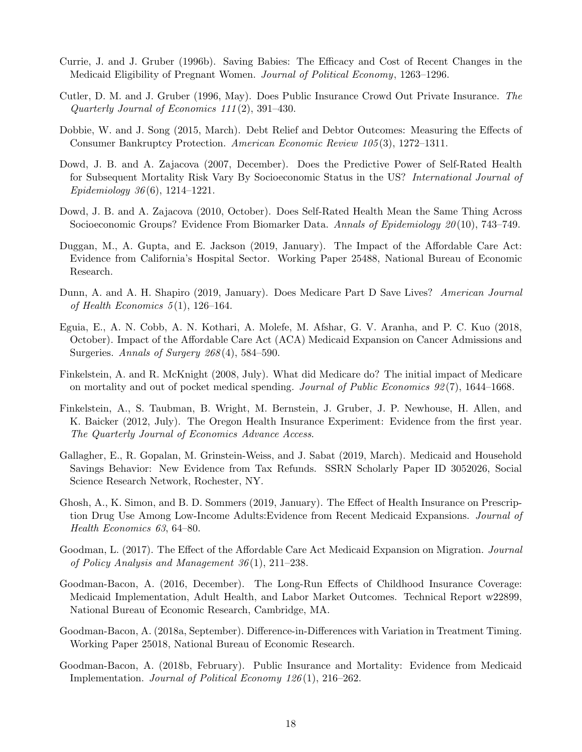- Currie, J. and J. Gruber (1996b). Saving Babies: The Efficacy and Cost of Recent Changes in the Medicaid Eligibility of Pregnant Women. Journal of Political Economy, 1263–1296.
- Cutler, D. M. and J. Gruber (1996, May). Does Public Insurance Crowd Out Private Insurance. The Quarterly Journal of Economics 111 (2), 391–430.
- Dobbie, W. and J. Song (2015, March). Debt Relief and Debtor Outcomes: Measuring the Effects of Consumer Bankruptcy Protection. American Economic Review 105 (3), 1272–1311.
- Dowd, J. B. and A. Zajacova (2007, December). Does the Predictive Power of Self-Rated Health for Subsequent Mortality Risk Vary By Socioeconomic Status in the US? International Journal of Epidemiology  $36(6)$ , 1214–1221.
- Dowd, J. B. and A. Zajacova (2010, October). Does Self-Rated Health Mean the Same Thing Across Socioeconomic Groups? Evidence From Biomarker Data. Annals of Epidemiology 20(10), 743–749.
- Duggan, M., A. Gupta, and E. Jackson (2019, January). The Impact of the Affordable Care Act: Evidence from California's Hospital Sector. Working Paper 25488, National Bureau of Economic Research.
- Dunn, A. and A. H. Shapiro (2019, January). Does Medicare Part D Save Lives? American Journal of Health Economics  $5(1)$ , 126–164.
- Eguia, E., A. N. Cobb, A. N. Kothari, A. Molefe, M. Afshar, G. V. Aranha, and P. C. Kuo (2018, October). Impact of the Affordable Care Act (ACA) Medicaid Expansion on Cancer Admissions and Surgeries. Annals of Surgery  $268(4)$ , 584-590.
- Finkelstein, A. and R. McKnight (2008, July). What did Medicare do? The initial impact of Medicare on mortality and out of pocket medical spending. Journal of Public Economics 92 (7), 1644–1668.
- Finkelstein, A., S. Taubman, B. Wright, M. Bernstein, J. Gruber, J. P. Newhouse, H. Allen, and K. Baicker (2012, July). The Oregon Health Insurance Experiment: Evidence from the first year. The Quarterly Journal of Economics Advance Access.
- Gallagher, E., R. Gopalan, M. Grinstein-Weiss, and J. Sabat (2019, March). Medicaid and Household Savings Behavior: New Evidence from Tax Refunds. SSRN Scholarly Paper ID 3052026, Social Science Research Network, Rochester, NY.
- Ghosh, A., K. Simon, and B. D. Sommers (2019, January). The Effect of Health Insurance on Prescription Drug Use Among Low-Income Adults:Evidence from Recent Medicaid Expansions. Journal of Health Economics 63, 64–80.
- Goodman, L. (2017). The Effect of the Affordable Care Act Medicaid Expansion on Migration. Journal of Policy Analysis and Management 36 (1), 211–238.
- Goodman-Bacon, A. (2016, December). The Long-Run Effects of Childhood Insurance Coverage: Medicaid Implementation, Adult Health, and Labor Market Outcomes. Technical Report w22899, National Bureau of Economic Research, Cambridge, MA.
- Goodman-Bacon, A. (2018a, September). Difference-in-Differences with Variation in Treatment Timing. Working Paper 25018, National Bureau of Economic Research.
- Goodman-Bacon, A. (2018b, February). Public Insurance and Mortality: Evidence from Medicaid Implementation. Journal of Political Economy  $126(1)$ ,  $216-262$ .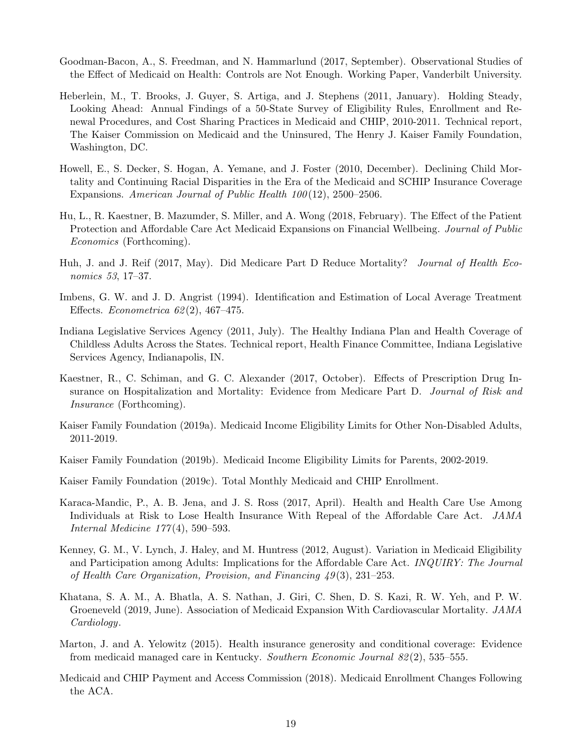- Goodman-Bacon, A., S. Freedman, and N. Hammarlund (2017, September). Observational Studies of the Effect of Medicaid on Health: Controls are Not Enough. Working Paper, Vanderbilt University.
- Heberlein, M., T. Brooks, J. Guyer, S. Artiga, and J. Stephens (2011, January). Holding Steady, Looking Ahead: Annual Findings of a 50-State Survey of Eligibility Rules, Enrollment and Renewal Procedures, and Cost Sharing Practices in Medicaid and CHIP, 2010-2011. Technical report, The Kaiser Commission on Medicaid and the Uninsured, The Henry J. Kaiser Family Foundation, Washington, DC.
- Howell, E., S. Decker, S. Hogan, A. Yemane, and J. Foster (2010, December). Declining Child Mortality and Continuing Racial Disparities in the Era of the Medicaid and SCHIP Insurance Coverage Expansions. American Journal of Public Health  $100(12)$ , 2500–2506.
- Hu, L., R. Kaestner, B. Mazumder, S. Miller, and A. Wong (2018, February). The Effect of the Patient Protection and Affordable Care Act Medicaid Expansions on Financial Wellbeing. Journal of Public Economics (Forthcoming).
- Huh, J. and J. Reif (2017, May). Did Medicare Part D Reduce Mortality? Journal of Health Economics 53, 17–37.
- Imbens, G. W. and J. D. Angrist (1994). Identification and Estimation of Local Average Treatment Effects. *Econometrica*  $62(2)$ , 467–475.
- Indiana Legislative Services Agency (2011, July). The Healthy Indiana Plan and Health Coverage of Childless Adults Across the States. Technical report, Health Finance Committee, Indiana Legislative Services Agency, Indianapolis, IN.
- Kaestner, R., C. Schiman, and G. C. Alexander (2017, October). Effects of Prescription Drug Insurance on Hospitalization and Mortality: Evidence from Medicare Part D. Journal of Risk and Insurance (Forthcoming).
- Kaiser Family Foundation (2019a). Medicaid Income Eligibility Limits for Other Non-Disabled Adults, 2011-2019.
- Kaiser Family Foundation (2019b). Medicaid Income Eligibility Limits for Parents, 2002-2019.
- Kaiser Family Foundation (2019c). Total Monthly Medicaid and CHIP Enrollment.
- Karaca-Mandic, P., A. B. Jena, and J. S. Ross (2017, April). Health and Health Care Use Among Individuals at Risk to Lose Health Insurance With Repeal of the Affordable Care Act. JAMA Internal Medicine 177 (4), 590–593.
- Kenney, G. M., V. Lynch, J. Haley, and M. Huntress (2012, August). Variation in Medicaid Eligibility and Participation among Adults: Implications for the Affordable Care Act. INQUIRY: The Journal of Health Care Organization, Provision, and Financing 49 (3), 231–253.
- Khatana, S. A. M., A. Bhatla, A. S. Nathan, J. Giri, C. Shen, D. S. Kazi, R. W. Yeh, and P. W. Groeneveld (2019, June). Association of Medicaid Expansion With Cardiovascular Mortality. JAMA Cardiology.
- Marton, J. and A. Yelowitz (2015). Health insurance generosity and conditional coverage: Evidence from medicaid managed care in Kentucky. Southern Economic Journal 82 (2), 535–555.
- Medicaid and CHIP Payment and Access Commission (2018). Medicaid Enrollment Changes Following the ACA.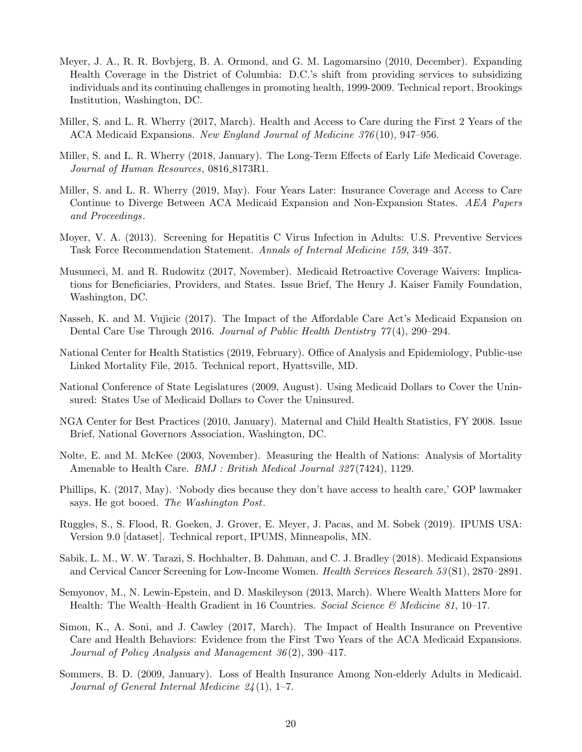- Meyer, J. A., R. R. Bovbjerg, B. A. Ormond, and G. M. Lagomarsino (2010, December). Expanding Health Coverage in the District of Columbia: D.C.'s shift from providing services to subsidizing individuals and its continuing challenges in promoting health, 1999-2009. Technical report, Brookings Institution, Washington, DC.
- Miller, S. and L. R. Wherry (2017, March). Health and Access to Care during the First 2 Years of the ACA Medicaid Expansions. New England Journal of Medicine 376 (10), 947–956.
- Miller, S. and L. R. Wherry (2018, January). The Long-Term Effects of Early Life Medicaid Coverage. Journal of Human Resources, 0816\_8173R1.
- Miller, S. and L. R. Wherry (2019, May). Four Years Later: Insurance Coverage and Access to Care Continue to Diverge Between ACA Medicaid Expansion and Non-Expansion States. AEA Papers and Proceedings.
- Moyer, V. A. (2013). Screening for Hepatitis C Virus Infection in Adults: U.S. Preventive Services Task Force Recommendation Statement. Annals of Internal Medicine 159, 349–357.
- Musumeci, M. and R. Rudowitz (2017, November). Medicaid Retroactive Coverage Waivers: Implications for Beneficiaries, Providers, and States. Issue Brief, The Henry J. Kaiser Family Foundation, Washington, DC.
- Nasseh, K. and M. Vujicic (2017). The Impact of the Affordable Care Act's Medicaid Expansion on Dental Care Use Through 2016. Journal of Public Health Dentistry  $77(4)$ , 290–294.
- National Center for Health Statistics (2019, February). Office of Analysis and Epidemiology, Public-use Linked Mortality File, 2015. Technical report, Hyattsville, MD.
- National Conference of State Legislatures (2009, August). Using Medicaid Dollars to Cover the Uninsured: States Use of Medicaid Dollars to Cover the Uninsured.
- NGA Center for Best Practices (2010, January). Maternal and Child Health Statistics, FY 2008. Issue Brief, National Governors Association, Washington, DC.
- Nolte, E. and M. McKee (2003, November). Measuring the Health of Nations: Analysis of Mortality Amenable to Health Care. *BMJ : British Medical Journal 327*(7424), 1129.
- Phillips, K. (2017, May). 'Nobody dies because they don't have access to health care,' GOP lawmaker says. He got booed. The Washington Post.
- Ruggles, S., S. Flood, R. Goeken, J. Grover, E. Meyer, J. Pacas, and M. Sobek (2019). IPUMS USA: Version 9.0 [dataset]. Technical report, IPUMS, Minneapolis, MN.
- Sabik, L. M., W. W. Tarazi, S. Hochhalter, B. Dahman, and C. J. Bradley (2018). Medicaid Expansions and Cervical Cancer Screening for Low-Income Women. Health Services Research 53 (S1), 2870–2891.
- Semyonov, M., N. Lewin-Epstein, and D. Maskileyson (2013, March). Where Wealth Matters More for Health: The Wealth–Health Gradient in 16 Countries. Social Science & Medicine 81, 10–17.
- Simon, K., A. Soni, and J. Cawley (2017, March). The Impact of Health Insurance on Preventive Care and Health Behaviors: Evidence from the First Two Years of the ACA Medicaid Expansions. Journal of Policy Analysis and Management 36 (2), 390–417.
- Sommers, B. D. (2009, January). Loss of Health Insurance Among Non-elderly Adults in Medicaid. Journal of General Internal Medicine  $24(1)$ , 1–7.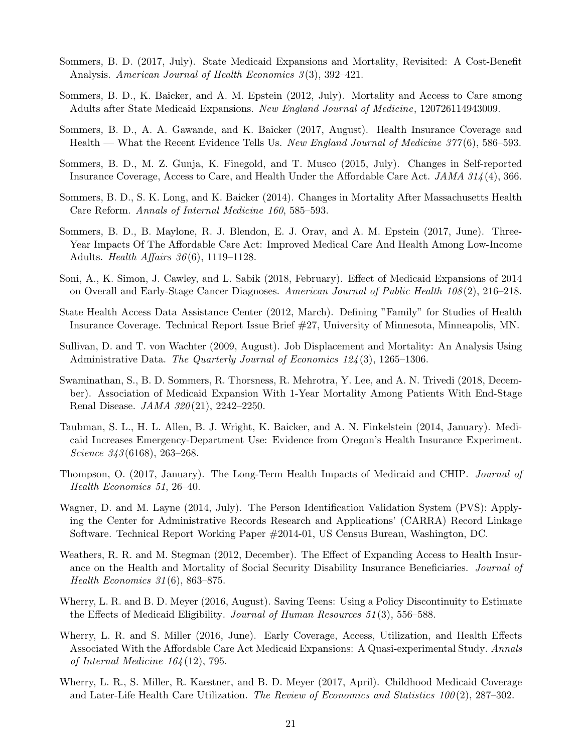- Sommers, B. D. (2017, July). State Medicaid Expansions and Mortality, Revisited: A Cost-Benefit Analysis. American Journal of Health Economics 3(3), 392-421.
- Sommers, B. D., K. Baicker, and A. M. Epstein (2012, July). Mortality and Access to Care among Adults after State Medicaid Expansions. New England Journal of Medicine, 120726114943009.
- Sommers, B. D., A. A. Gawande, and K. Baicker (2017, August). Health Insurance Coverage and Health — What the Recent Evidence Tells Us. New England Journal of Medicine  $377(6)$ , 586–593.
- Sommers, B. D., M. Z. Gunja, K. Finegold, and T. Musco (2015, July). Changes in Self-reported Insurance Coverage, Access to Care, and Health Under the Affordable Care Act. JAMA 314 (4), 366.
- Sommers, B. D., S. K. Long, and K. Baicker (2014). Changes in Mortality After Massachusetts Health Care Reform. Annals of Internal Medicine 160, 585–593.
- Sommers, B. D., B. Maylone, R. J. Blendon, E. J. Orav, and A. M. Epstein (2017, June). Three-Year Impacts Of The Affordable Care Act: Improved Medical Care And Health Among Low-Income Adults. *Health Affairs*  $36(6)$ , 1119–1128.
- Soni, A., K. Simon, J. Cawley, and L. Sabik (2018, February). Effect of Medicaid Expansions of 2014 on Overall and Early-Stage Cancer Diagnoses. American Journal of Public Health 108 (2), 216–218.
- State Health Access Data Assistance Center (2012, March). Defining "Family" for Studies of Health Insurance Coverage. Technical Report Issue Brief #27, University of Minnesota, Minneapolis, MN.
- Sullivan, D. and T. von Wachter (2009, August). Job Displacement and Mortality: An Analysis Using Administrative Data. The Quarterly Journal of Economics 124(3), 1265–1306.
- Swaminathan, S., B. D. Sommers, R. Thorsness, R. Mehrotra, Y. Lee, and A. N. Trivedi (2018, December). Association of Medicaid Expansion With 1-Year Mortality Among Patients With End-Stage Renal Disease. *JAMA 320*(21), 2242-2250.
- Taubman, S. L., H. L. Allen, B. J. Wright, K. Baicker, and A. N. Finkelstein (2014, January). Medicaid Increases Emergency-Department Use: Evidence from Oregon's Health Insurance Experiment. Science 343(6168), 263–268.
- Thompson, O. (2017, January). The Long-Term Health Impacts of Medicaid and CHIP. Journal of Health Economics 51, 26–40.
- Wagner, D. and M. Layne (2014, July). The Person Identification Validation System (PVS): Applying the Center for Administrative Records Research and Applications' (CARRA) Record Linkage Software. Technical Report Working Paper #2014-01, US Census Bureau, Washington, DC.
- Weathers, R. R. and M. Stegman (2012, December). The Effect of Expanding Access to Health Insurance on the Health and Mortality of Social Security Disability Insurance Beneficiaries. *Journal of* Health Economics 31 (6), 863–875.
- Wherry, L. R. and B. D. Meyer (2016, August). Saving Teens: Using a Policy Discontinuity to Estimate the Effects of Medicaid Eligibility. Journal of Human Resources 51 (3), 556–588.
- Wherry, L. R. and S. Miller (2016, June). Early Coverage, Access, Utilization, and Health Effects Associated With the Affordable Care Act Medicaid Expansions: A Quasi-experimental Study. Annals of Internal Medicine 164 (12), 795.
- Wherry, L. R., S. Miller, R. Kaestner, and B. D. Meyer (2017, April). Childhood Medicaid Coverage and Later-Life Health Care Utilization. The Review of Economics and Statistics 100 (2), 287–302.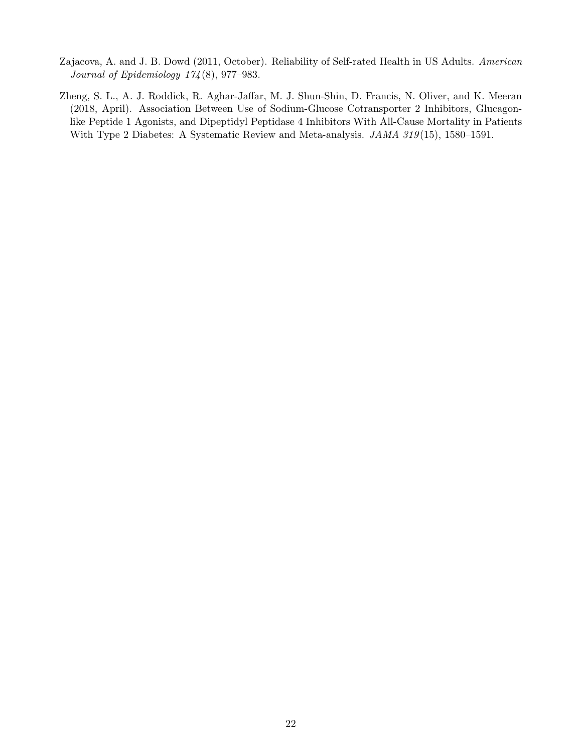- Zajacova, A. and J. B. Dowd (2011, October). Reliability of Self-rated Health in US Adults. American Journal of Epidemiology 174 (8), 977–983.
- Zheng, S. L., A. J. Roddick, R. Aghar-Jaffar, M. J. Shun-Shin, D. Francis, N. Oliver, and K. Meeran (2018, April). Association Between Use of Sodium-Glucose Cotransporter 2 Inhibitors, Glucagonlike Peptide 1 Agonists, and Dipeptidyl Peptidase 4 Inhibitors With All-Cause Mortality in Patients With Type 2 Diabetes: A Systematic Review and Meta-analysis. JAMA 319(15), 1580–1591.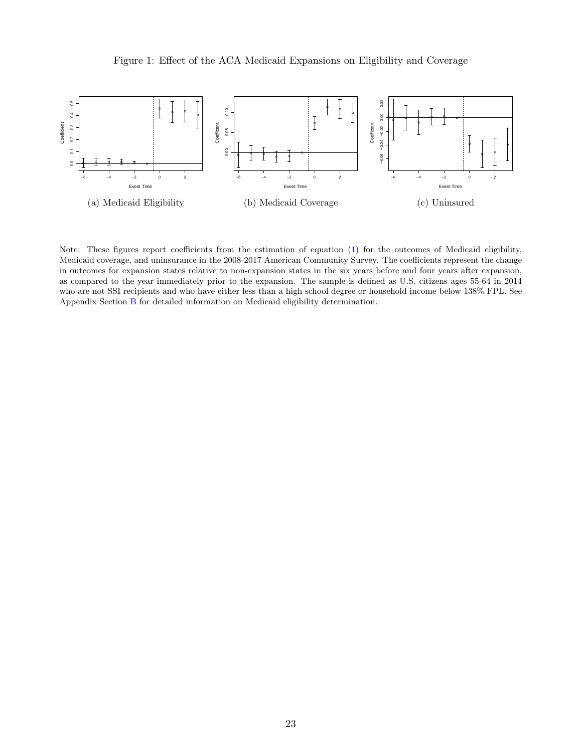

Note: These figures report coefficients from the estimation of equation [\(1\)](#page--1-81) for the outcomes of Medicaid eligibility, Medicaid coverage, and uninsurance in the 2008-2017 American Community Survey. The coefficients represent the change in outcomes for expansion states relative to non-expansion states in the six years before and four years after expansion, as compared to the year immediately prior to the expansion. The sample is defined as U.S. citizens ages 55-64 in 2014 who are not SSI recipients and who have either less than a high school degree or household income below 138% FPL. See Appendix Section [B](#page--1-88) for detailed information on Medicaid eligibility determination.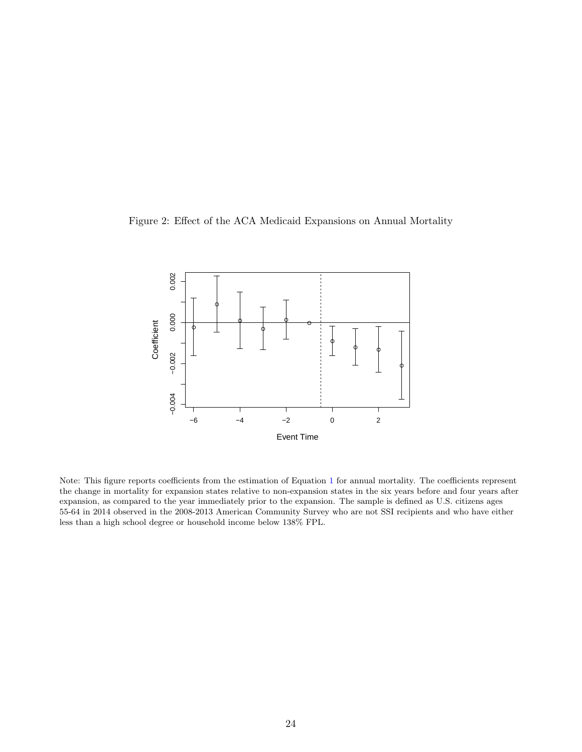Figure 2: Effect of the ACA Medicaid Expansions on Annual Mortality



Note: This figure reports coefficients from the estimation of Equation [1](#page--1-81) for annual mortality. The coefficients represent the change in mortality for expansion states relative to non-expansion states in the six years before and four years after expansion, as compared to the year immediately prior to the expansion. The sample is defined as U.S. citizens ages 55-64 in 2014 observed in the 2008-2013 American Community Survey who are not SSI recipients and who have either less than a high school degree or household income below 138% FPL.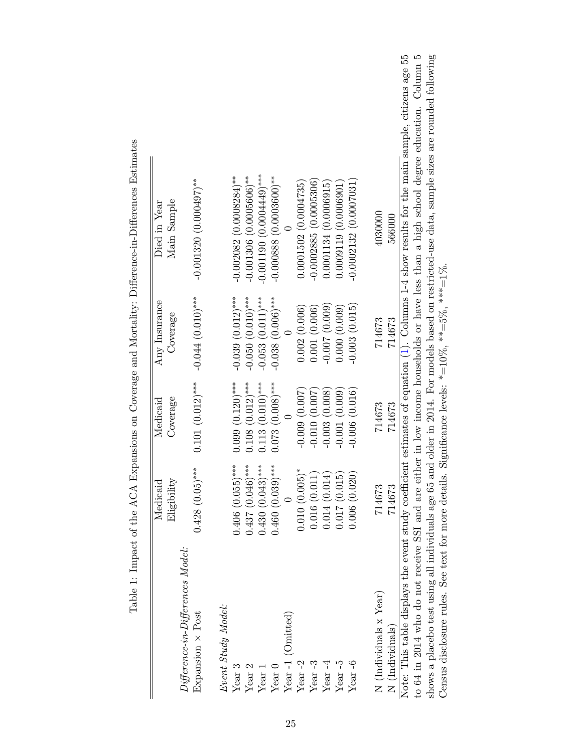|                                                         | Medicaid                    | Medicaid           | Any Insurance       | Died in Year                                                                                                                                   |
|---------------------------------------------------------|-----------------------------|--------------------|---------------------|------------------------------------------------------------------------------------------------------------------------------------------------|
| $Differential$ erence-in- $Differential$ erences Model: | Eligibility                 | Coverage           | Coverage            | Main Sample                                                                                                                                    |
| Expansion $\times$ Post                                 | $0.428(0.05)$ ***           | $0.101(0.012)$ *** | $-0.044(0.010)$ *** | $-0.001320(0.000497)$ **                                                                                                                       |
| Event Study Model:                                      |                             |                    |                     |                                                                                                                                                |
| Year <sub>3</sub>                                       | $0.406$ $(0.055)$ ***       | $0.099(0.120)$ *** | $-0.039(0.012)$ *** | $-0.002082$ (0.0008284) <sup>**</sup>                                                                                                          |
| Year 2                                                  | $0.437(0.046)$ ***          | $0.108(0.012)$ *** | $-0.050(0.010)$ *** | $-0.001306(0.0005606)$ **                                                                                                                      |
| Year 1                                                  | $0.430(0.043)$ ***          | $0.113(0.010)$ *** | $-0.053(0.011)$ *** | $-0.001190(0.000449)$ ***                                                                                                                      |
| Year <sub>0</sub>                                       | $0.460(0.039)$ ***          | $0.073(0.008)$ *** | $-0.038$ (0.006)*** | $-0.000888(0.0003600)*$                                                                                                                        |
| Year-1 (Omitted)                                        |                             |                    |                     |                                                                                                                                                |
| Year $-2$                                               | $0.010(0.005)$ <sup>*</sup> | $-0.009(0.007)$    | 0.002(0.006)        | 0.0001502(0.0004735)                                                                                                                           |
| Year $-3$                                               | 0.016(0.011)                | $-0.010(0.007)$    | 0.001(0.006)        | $-0.0002885(0.0005306)$                                                                                                                        |
| Year $-4$                                               | 0.014(0.014)                | $-0.003(0.008)$    | (600.07, 000.09)    | 0.0001134(0.0006915)                                                                                                                           |
| Year $-5$                                               | 0.017(0.015)                | $-0.001(0.009)$    | 0.000(0.009)        | 0.0009119(0.0006901)                                                                                                                           |
| Year-6                                                  | 0.006(0.020)                | $-0.006(0.016)$    | $-0.003(0.015)$     | $-0.0002132(0.0007031)$                                                                                                                        |
| N (Individuals x Year)                                  | 714673                      | 714673             | 714673              | 4030000                                                                                                                                        |
| N (Individuals)                                         | 714673                      | 714673             | 714673              | 566000                                                                                                                                         |
|                                                         |                             |                    |                     | Note: This table displays the event study coefficient estimates of equation (1). Columns 1-4 show results for the main sample, citizens age 55 |
|                                                         |                             |                    |                     | to 64 in 2014 who do not receive SSI and are either in low income households or have less than a high school degree education. Column 5        |
| shows a placebo test using all individuals age 65       |                             |                    |                     | and older in 2014. For models based on restricted-use data, sample sizes are rounded following                                                 |

shows a placebo test using all individuals age 65 and older in 2014. For models based on restricted-use data, sample sizes are rounded following

Census disclosure rules. See text for more details. Significance levels:  $* = 10\%$ ,  $* * = 5\%$ ,  $* * = 1\%$ .

Census disclosure rules. See text for more details. Significance levels:  $* = 10\%$ ,  $** = 5\%$ ,  $*** = 1\%$ .

as Estimates Table 1: Impact of the ACA Expansions on Coverage and Mortality: Difference-in-Differences Estimates  $\text{in} \text{-} \text{Diff}_\epsilon$  $nd$  Mortality: Different  $\epsilon$  $\tilde{\epsilon}$  $\cdot \frac{1}{5}$  $C<sup>+</sup>$  of the  $ACA$   $Ax$  $T<sub>2</sub>$ ha 1  $\cdot$  Im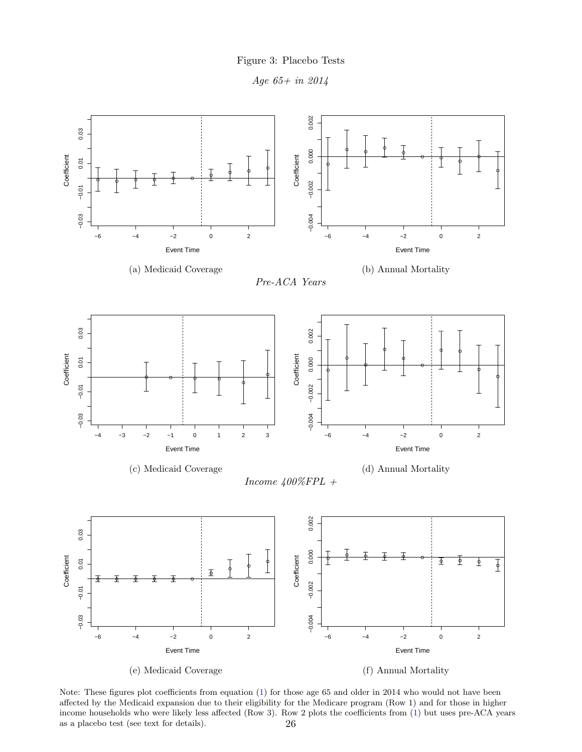Figure 3: Placebo Tests





Note: These figures plot coefficients from equation [\(1\)](#page--1-81) for those age 65 and older in 2014 who would not have been affected by the Medicaid expansion due to their eligibility for the Medicare program (Row 1) and for those in higher income households who were likely less affected (Row 3). Row 2 plots the coefficients from [\(1\)](#page--1-81) but uses pre-ACA years as a placebo test (see text for details). 26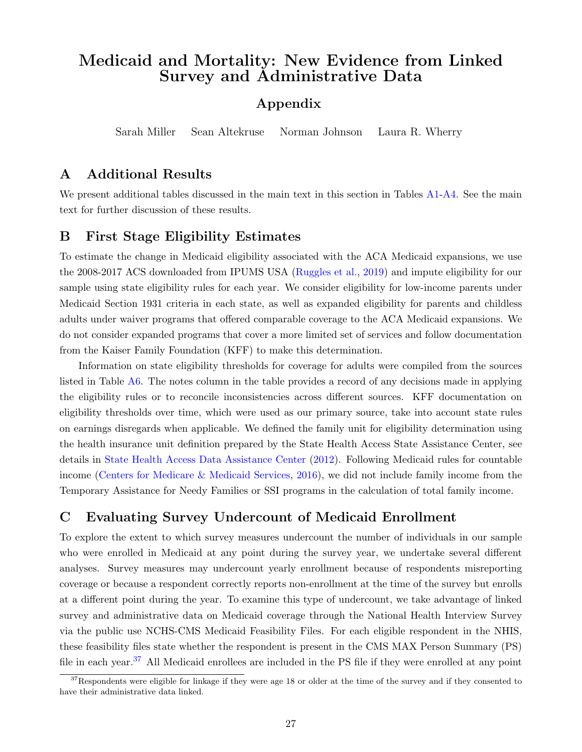# Medicaid and Mortality: New Evidence from Linked Survey and Administrative Data

# Appendix

Sarah Miller Sean Altekruse Norman Johnson Laura R. Wherry

# A Additional Results

We present additional tables discussed in the main text in this section in Tables [A1-](#page--1-70)[A4.](#page--1-86) See the main text for further discussion of these results.

## B First Stage Eligibility Estimates

To estimate the change in Medicaid eligibility associated with the ACA Medicaid expansions, we use the 2008-2017 ACS downloaded from IPUMS USA [\(Ruggles et al.,](#page--1-108) [2019\)](#page--1-108) and impute eligibility for our sample using state eligibility rules for each year. We consider eligibility for low-income parents under Medicaid Section 1931 criteria in each state, as well as expanded eligibility for parents and childless adults under waiver programs that offered comparable coverage to the ACA Medicaid expansions. We do not consider expanded programs that cover a more limited set of services and follow documentation from the Kaiser Family Foundation (KFF) to make this determination.

Information on state eligibility thresholds for coverage for adults were compiled from the sources listed in Table [A6.](#page--1-86) The notes column in the table provides a record of any decisions made in applying the eligibility rules or to reconcile inconsistencies across different sources. KFF documentation on eligibility thresholds over time, which were used as our primary source, take into account state rules on earnings disregards when applicable. We defined the family unit for eligibility determination using the health insurance unit definition prepared by the State Health Access State Assistance Center, see details in [State Health Access Data Assistance Center](#page--1-109) [\(2012\)](#page--1-109). Following Medicaid rules for countable income [\(Centers for Medicare & Medicaid Services,](#page--1-110) [2016\)](#page--1-110), we did not include family income from the Temporary Assistance for Needy Families or SSI programs in the calculation of total family income.

# C Evaluating Survey Undercount of Medicaid Enrollment

To explore the extent to which survey measures undercount the number of individuals in our sample who were enrolled in Medicaid at any point during the survey year, we undertake several different analyses. Survey measures may undercount yearly enrollment because of respondents misreporting coverage or because a respondent correctly reports non-enrollment at the time of the survey but enrolls at a different point during the year. To examine this type of undercount, we take advantage of linked survey and administrative data on Medicaid coverage through the National Health Interview Survey via the public use NCHS-CMS Medicaid Feasibility Files. For each eligible respondent in the NHIS, these feasibility files state whether the respondent is present in the CMS MAX Person Summary (PS) file in each year.<sup>[37](#page--1-111)</sup> All Medicaid enrollees are included in the PS file if they were enrolled at any point

 $37$ Respondents were eligible for linkage if they were age 18 or older at the time of the survey and if they consented to have their administrative data linked.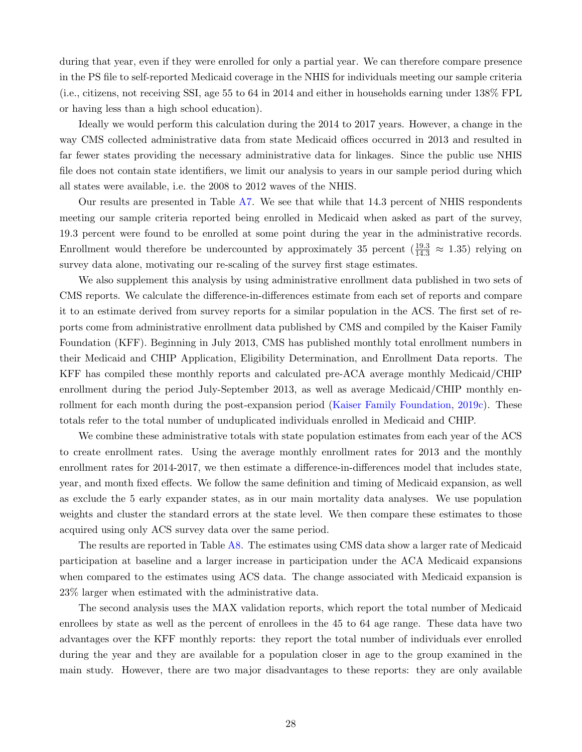during that year, even if they were enrolled for only a partial year. We can therefore compare presence in the PS file to self-reported Medicaid coverage in the NHIS for individuals meeting our sample criteria (i.e., citizens, not receiving SSI, age 55 to 64 in 2014 and either in households earning under 138% FPL or having less than a high school education).

Ideally we would perform this calculation during the 2014 to 2017 years. However, a change in the way CMS collected administrative data from state Medicaid offices occurred in 2013 and resulted in far fewer states providing the necessary administrative data for linkages. Since the public use NHIS file does not contain state identifiers, we limit our analysis to years in our sample period during which all states were available, i.e. the 2008 to 2012 waves of the NHIS.

Our results are presented in Table [A7.](#page--1-112) We see that while that 14.3 percent of NHIS respondents meeting our sample criteria reported being enrolled in Medicaid when asked as part of the survey, 19.3 percent were found to be enrolled at some point during the year in the administrative records. Enrollment would therefore be undercounted by approximately 35 percent  $(\frac{19.3}{14.3} \approx 1.35)$  relying on survey data alone, motivating our re-scaling of the survey first stage estimates.

We also supplement this analysis by using administrative enrollment data published in two sets of CMS reports. We calculate the difference-in-differences estimate from each set of reports and compare it to an estimate derived from survey reports for a similar population in the ACS. The first set of reports come from administrative enrollment data published by CMS and compiled by the Kaiser Family Foundation (KFF). Beginning in July 2013, CMS has published monthly total enrollment numbers in their Medicaid and CHIP Application, Eligibility Determination, and Enrollment Data reports. The KFF has compiled these monthly reports and calculated pre-ACA average monthly Medicaid/CHIP enrollment during the period July-September 2013, as well as average Medicaid/CHIP monthly enrollment for each month during the post-expansion period [\(Kaiser Family Foundation,](#page--1-113) [2019c\)](#page--1-113). These totals refer to the total number of unduplicated individuals enrolled in Medicaid and CHIP.

We combine these administrative totals with state population estimates from each year of the ACS to create enrollment rates. Using the average monthly enrollment rates for 2013 and the monthly enrollment rates for 2014-2017, we then estimate a difference-in-differences model that includes state, year, and month fixed effects. We follow the same definition and timing of Medicaid expansion, as well as exclude the 5 early expander states, as in our main mortality data analyses. We use population weights and cluster the standard errors at the state level. We then compare these estimates to those acquired using only ACS survey data over the same period.

The results are reported in Table [A8.](#page--1-114) The estimates using CMS data show a larger rate of Medicaid participation at baseline and a larger increase in participation under the ACA Medicaid expansions when compared to the estimates using ACS data. The change associated with Medicaid expansion is 23% larger when estimated with the administrative data.

The second analysis uses the MAX validation reports, which report the total number of Medicaid enrollees by state as well as the percent of enrollees in the 45 to 64 age range. These data have two advantages over the KFF monthly reports: they report the total number of individuals ever enrolled during the year and they are available for a population closer in age to the group examined in the main study. However, there are two major disadvantages to these reports: they are only available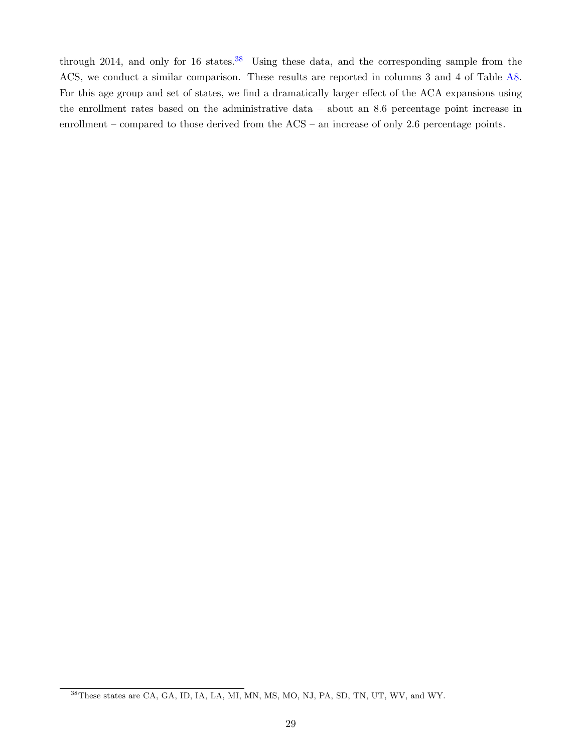through 2014, and only for 16 states. $38$  Using these data, and the corresponding sample from the ACS, we conduct a similar comparison. These results are reported in columns 3 and 4 of Table [A8.](#page--1-114) For this age group and set of states, we find a dramatically larger effect of the ACA expansions using the enrollment rates based on the administrative data – about an 8.6 percentage point increase in enrollment – compared to those derived from the ACS – an increase of only 2.6 percentage points.

<sup>38</sup>These states are CA, GA, ID, IA, LA, MI, MN, MS, MO, NJ, PA, SD, TN, UT, WV, and WY.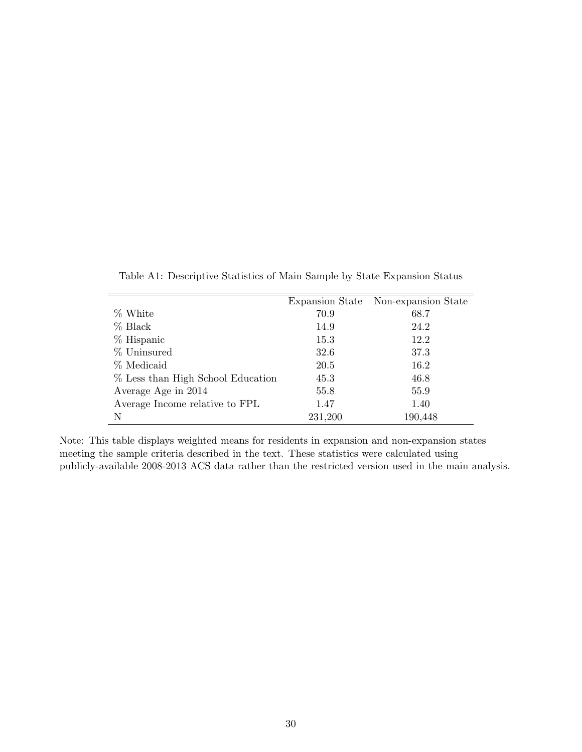|         | Expansion State Non-expansion State |
|---------|-------------------------------------|
| 70.9    | 68.7                                |
| 14.9    | 24.2                                |
| 15.3    | 12.2                                |
| 32.6    | 37.3                                |
| 20.5    | 16.2                                |
| 45.3    | 46.8                                |
| 55.8    | 55.9                                |
| 1.47    | 1.40                                |
| 231,200 | 190,448                             |
|         |                                     |

Table A1: Descriptive Statistics of Main Sample by State Expansion Status

Note: This table displays weighted means for residents in expansion and non-expansion states meeting the sample criteria described in the text. These statistics were calculated using publicly-available 2008-2013 ACS data rather than the restricted version used in the main analysis.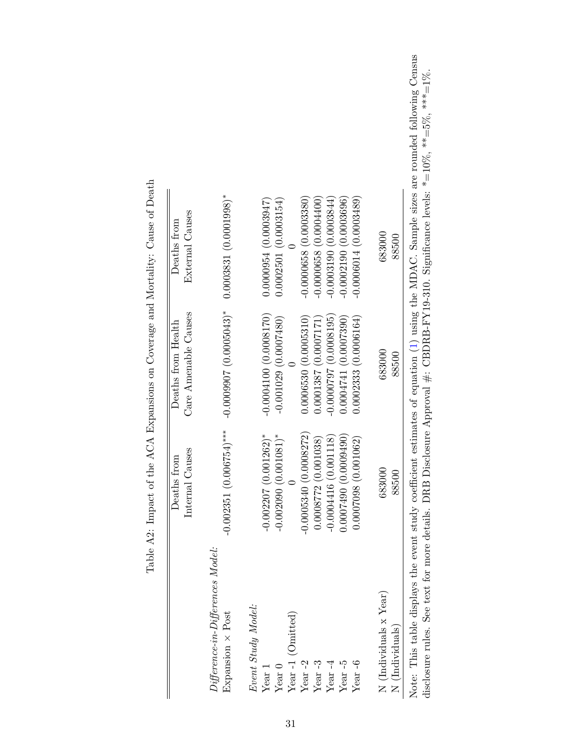| $Differentice-in-Difference-Model:$<br>Event Study Model:<br>Expansion × Post<br>Year-1 (Omitted)<br>Year $-2$<br>Year-5<br>Year-6<br>Year $-3$<br>Year $-4$<br>Year <sub>1</sub><br>$\rm Year~0$ | $-0.002351(0.006754)$ ***<br>$-0.0005340(0.0008272)$<br>$-0.002207(0.001262)$ *<br>$-0.002000(0.001081)^*$<br>0.0007490(0.0009490)<br>0.001118<br>$0.0007098$ (0.001062)<br>0.0008772(0.001038)<br>Causes<br>from<br>Deaths<br>Internal<br>$-0.0004416$ | $-0.0009907(0.0005043)*$<br>Care Amenable Causes<br>$-0.0004100(0.0008170)$<br>0.0006530(0.0005310)<br>$-0.0000797(0.0008195)$<br>0.0002333(0.0006164)<br>$-0.001029(0.0007480)$<br>0.0001387(0.0007171)<br>0.0004741 (0.0007390)<br>Deaths from Health | Table A2: Impact of the ACA Expansions on Coverage and Mortality: Cause of Death<br>$0.0003831(0.0001998)*$<br>$-0.0000658(0.0003380)$<br>$-0.0000014(0.0003489)$<br>$-0.00000658$ (0.0004400)<br>$-0.0002190$ (0.0003696)<br>0.0000054(0.0003947)<br>$-0.0003190(0.0003844)$<br>0.0002501(0.0003154)<br>External Causes<br>Deaths from |
|---------------------------------------------------------------------------------------------------------------------------------------------------------------------------------------------------|---------------------------------------------------------------------------------------------------------------------------------------------------------------------------------------------------------------------------------------------------------|---------------------------------------------------------------------------------------------------------------------------------------------------------------------------------------------------------------------------------------------------------|-----------------------------------------------------------------------------------------------------------------------------------------------------------------------------------------------------------------------------------------------------------------------------------------------------------------------------------------|
| N (Individuals x Year)<br>N (Individuals)                                                                                                                                                         | 683000<br>88500                                                                                                                                                                                                                                         | 683000<br>88500                                                                                                                                                                                                                                         | 683000<br>88500                                                                                                                                                                                                                                                                                                                         |
| disclosure rules. See text for more details. DRB I                                                                                                                                                |                                                                                                                                                                                                                                                         |                                                                                                                                                                                                                                                         | Note: This table displays the event study coefficient estimates of equation (1) using the MDAC. Sample sizes are rounded following Census<br>Disclosure Approval $\#$ : CBDRB-FY19-310. Significance levels: $* = 10\%$ , $** = 5\%$ , $*** = 1\%$ .                                                                                    |
|                                                                                                                                                                                                   |                                                                                                                                                                                                                                                         |                                                                                                                                                                                                                                                         |                                                                                                                                                                                                                                                                                                                                         |

nd Mortality: Cause of Death Š  $\cdot$ Table  $A2$ : Impact of the  $ACA$   $Ex$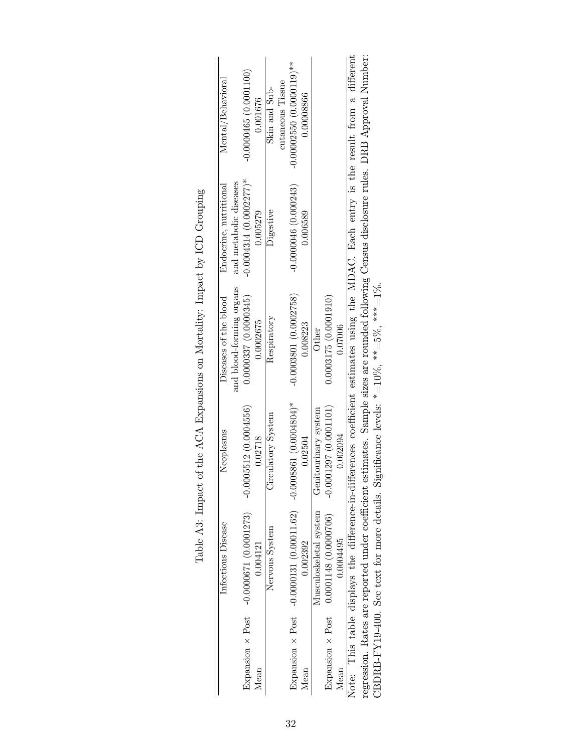|                         | Infectious Disease                                                      | Neoplasms                                                                                               | Diseases of the blood                            | Endocrine, nutritional                              | Mental/Behavioral                                                                                                                            |
|-------------------------|-------------------------------------------------------------------------|---------------------------------------------------------------------------------------------------------|--------------------------------------------------|-----------------------------------------------------|----------------------------------------------------------------------------------------------------------------------------------------------|
| Expansion $\times$ Post | $-0.0000671(0.0001273)$                                                 | $-0.0005512(0.0004556)$                                                                                 | and blood-forming organs<br>0.0000337(0.0000345) | $-0.0004314(0.0002277)^*$<br>and metabolic diseases | $-0.0000465(0.0001100)$                                                                                                                      |
| Mean                    | 0.004121                                                                | 0.02718                                                                                                 | 0.0002675                                        | 0.005279                                            | 0.001676                                                                                                                                     |
|                         | Nervous System                                                          | Circulatory System                                                                                      | Respiratory                                      | Digestive                                           | Skin and Sub-                                                                                                                                |
|                         |                                                                         |                                                                                                         |                                                  |                                                     | cutaneous Tissue                                                                                                                             |
|                         | Expansion $\times$ Post -0.0000131 (0.00011.62) -0.0008861 (0.0004804)* |                                                                                                         | $-0.0003801(0.0002758)$                          | $-0.0000046(0.000243)$                              | $-0.00002550(0.0000119)**$                                                                                                                   |
| Mean                    | 0.002392                                                                | 0.02504                                                                                                 | 0.008223                                         | 0.006589                                            | 0.00008866                                                                                                                                   |
|                         | Musculoskeletal system                                                  | Genitourinary system                                                                                    | Other                                            |                                                     |                                                                                                                                              |
| Expansion $\times$ Post | $0.0001148$ (0.0000706)                                                 | $-0.0001297(0.0001101)$                                                                                 | 0.0003175(0.0001910)                             |                                                     |                                                                                                                                              |
| Mean                    | 0.0004495                                                               | 0.002094                                                                                                | 0.07006                                          |                                                     |                                                                                                                                              |
|                         |                                                                         |                                                                                                         |                                                  |                                                     | Note: This table displays the difference-in-differences coefficient estimates using the MDAC. Each entry is the result from a different      |
|                         |                                                                         |                                                                                                         |                                                  |                                                     | regression. Rates are reported under coefficient estimates. Sample sizes are rounded following Census disclosure rules. DRB Approval Number: |
|                         |                                                                         | CBDRB-FY19-400. See text for more details. Significance levels: $* = 10\%$ , $** = 5\%$ , $*** = 1\%$ . |                                                  |                                                     |                                                                                                                                              |

| i<br>i<br>5 ) 1 )<br>֖֖֧֪֚֚֚֚֚֚֡֝֝֜֝֝                   |
|---------------------------------------------------------|
| くしくし<br>$\frac{1}{2}$                                   |
| $\overline{a}$                                          |
| $\sim$ $\sim$ $\sim$ $\sim$ $\sim$ $\sim$<br>۱          |
| $\frac{1}{2}$<br>;<br>;<br>;<br>;<br>;<br>$\frac{1}{2}$ |
|                                                         |
| π ας τας τας τας αποτελεί<br>í<br>I<br>l                |
| - 1<br>- 7<br>-<br>.<br>.<br>.                          |
| j<br>$\overline{1}$                                     |
| $\sim$<br>5<br>l<br>$\frac{1}{1}$<br>l                  |
|                                                         |
| $-5.12$<br>.<br>- احل H                                 |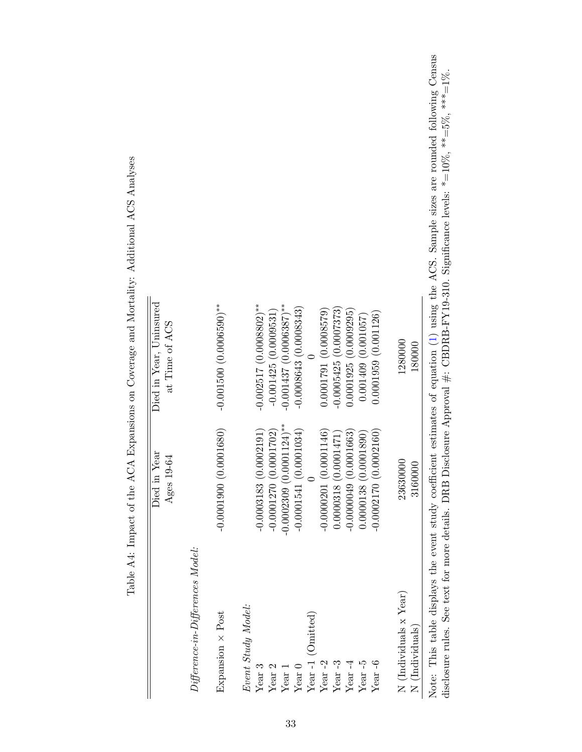|                                                         | Died in Year<br>19-64<br>Ages               | Died in Year, Uninsured<br>at Time of ACS                                                                                                                                                                                     |  |
|---------------------------------------------------------|---------------------------------------------|-------------------------------------------------------------------------------------------------------------------------------------------------------------------------------------------------------------------------------|--|
| $Differential$ erence-in- $Differential$ erences Model: |                                             |                                                                                                                                                                                                                               |  |
| Expansion × Post                                        | (0.0001680)<br>$-0.0001900$                 | $-0.001500(0.0006590)$ **                                                                                                                                                                                                     |  |
| Event Study Model:                                      |                                             |                                                                                                                                                                                                                               |  |
| Year <sub>3</sub>                                       | (0.0002191)<br>$-0.0003183$                 | $-0.002517(0.0008802)$ **                                                                                                                                                                                                     |  |
| Year <sub>2</sub>                                       | (0.0001702)<br>$-0.0001270$                 | $-0.001425(0.0009531)$                                                                                                                                                                                                        |  |
| $Year$ 1                                                | $0.0001124$ <sup>**</sup><br>$-0.0002309$ ( | $-0.001437(0.0006387)$ **                                                                                                                                                                                                     |  |
| Year $0$                                                | (0.0001034)<br>$-0.0001541$                 | $-0.0008643(0.0008343)$                                                                                                                                                                                                       |  |
| Year-1 (Omitted)                                        |                                             |                                                                                                                                                                                                                               |  |
| Year $-2$                                               | (0.0001146)<br>$-0.0000201$                 | 0.0001791(0.0008579)                                                                                                                                                                                                          |  |
| Year-3                                                  | (0.0001471)<br>0.0000318                    | $-0.0005425(0.0007373)$                                                                                                                                                                                                       |  |
| Year $-4$                                               | (0.0001663)<br>$-0.0000009$                 | 0.0001925 (0.0009295)                                                                                                                                                                                                         |  |
| Year $-5$                                               | (0.0001890)<br>0.0000138                    | 0.001409(0.001057)                                                                                                                                                                                                            |  |
| Year $-6$                                               | (0.0002160)<br>$-0.0002170$                 | 0.0001959(0.001126)                                                                                                                                                                                                           |  |
| N (Individuals x Year)                                  | 23630000                                    | 1280000                                                                                                                                                                                                                       |  |
| N (Individuals)                                         | 3160000                                     | 180000                                                                                                                                                                                                                        |  |
| disclosure rules. See text for more details. DRB        |                                             | Note: This table displays the event study coefficient estimates of equation (1) using the ACS. Sample sizes are rounded following Census<br>Disclosure Approval #: CBDRB-FY19-310. Significance levels: *=10%, **=5%, ***=1%. |  |

Table A4: Impact of the ACA Expansions on Coverage and Mortality: Additional ACS Analyses Table A4: Impact of the ACA Expansions on Coverage and Mortality: Additional ACS Analyses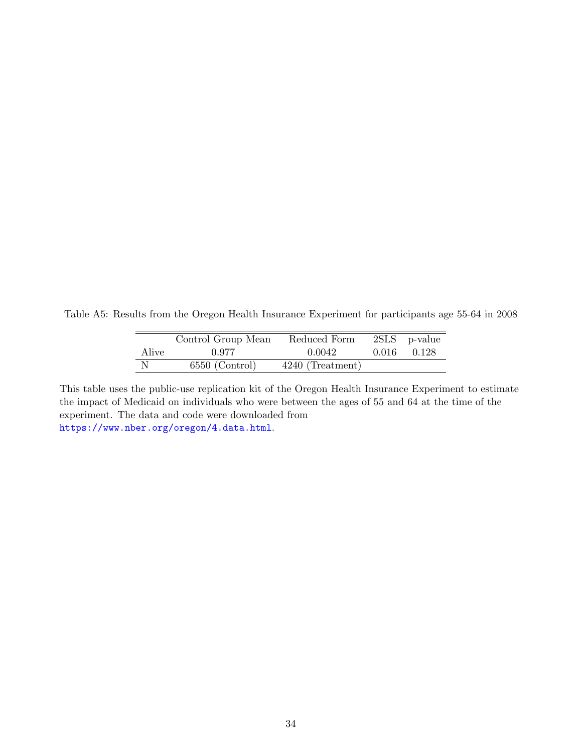Table A5: Results from the Oregon Health Insurance Experiment for participants age 55-64 in 2008

|       | Control Group Mean | Reduced Form       |       | $2SLS$ p-value |
|-------|--------------------|--------------------|-------|----------------|
| Alive | 0.977              | 0.0042             | 0.016 | 0.128          |
| -N    | $6550$ (Control)   | $4240$ (Treatment) |       |                |

This table uses the public-use replication kit of the Oregon Health Insurance Experiment to estimate the impact of Medicaid on individuals who were between the ages of 55 and 64 at the time of the experiment. The data and code were downloaded from <https://www.nber.org/oregon/4.data.html>.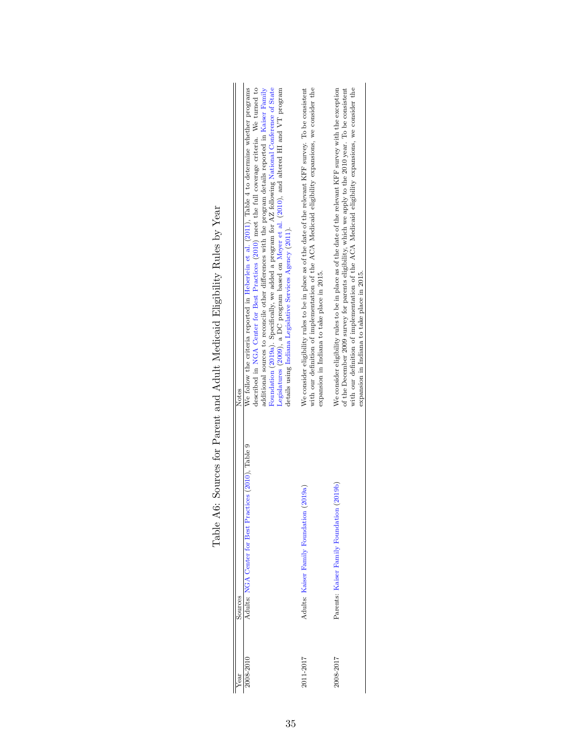| Notes<br>Sources | additional sources to reconcile other differences with the program details reported in Kaiser Family<br>We follow the criteria reported in Heberlein et al. (2011), Table 4 to determine whether programs<br>described in NGA Center for Best Practices (2010) meet the full coverage criteria. We turned to<br>Foundation (2019a). Specifically, we added a program for AZ following National Conference of State<br>Legislatures (2009), a DC program based on Meyer et al. (2010), and altered HI and VT program<br>details using Indiana Legislative Services Agency (2011).<br>Adults: NGA Center for Best Practices (2010), Table 9 | with our definition of implementation of the ACA Medicaid eligibility expansions, we consider the<br>We consider eligibility rules to be in place as of the date of the relevant KFF survey. To be consistent<br>expansion in Indiana to take place in 2015.<br>(2019a)<br>Adults: Kaiser Family Foundation | with our definition of implementation of the ACA Medicaid eligibility expansions, we consider the<br>We consider eligibility rules to be in place as of the date of the relevant $KFF$ survey with the exception<br>of the December 2009 survey for parents eligibility, which we apply to the 2010 year. To be consistent<br>expansion in Indiana to take place in 2015.<br>Parents: Kaiser Family Foundation (2019b) |
|------------------|-------------------------------------------------------------------------------------------------------------------------------------------------------------------------------------------------------------------------------------------------------------------------------------------------------------------------------------------------------------------------------------------------------------------------------------------------------------------------------------------------------------------------------------------------------------------------------------------------------------------------------------------|-------------------------------------------------------------------------------------------------------------------------------------------------------------------------------------------------------------------------------------------------------------------------------------------------------------|------------------------------------------------------------------------------------------------------------------------------------------------------------------------------------------------------------------------------------------------------------------------------------------------------------------------------------------------------------------------------------------------------------------------|
| rear             | 2008-2010                                                                                                                                                                                                                                                                                                                                                                                                                                                                                                                                                                                                                                 | 2011-2017                                                                                                                                                                                                                                                                                                   | 2008-2017                                                                                                                                                                                                                                                                                                                                                                                                              |

Table A6: Sources for Parent and Adult Medicaid Eligibility Rules by Year Table A6: Sources for Parent and Adult Medicaid Eligibility Rules by Year